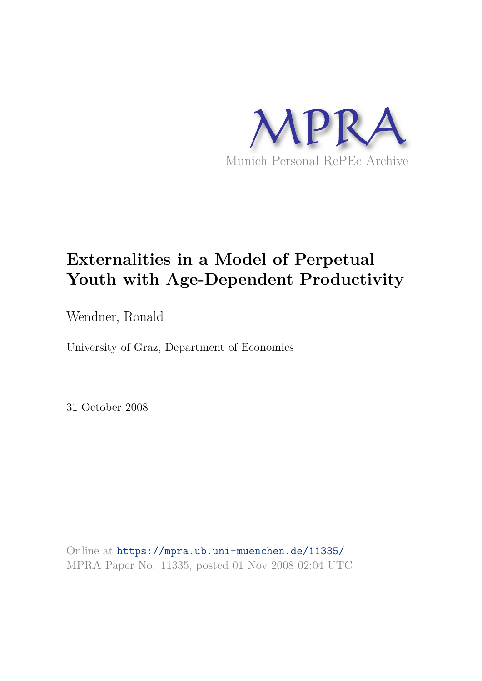

# **Externalities in a Model of Perpetual Youth with Age-Dependent Productivity**

Wendner, Ronald

University of Graz, Department of Economics

31 October 2008

Online at https://mpra.ub.uni-muenchen.de/11335/ MPRA Paper No. 11335, posted 01 Nov 2008 02:04 UTC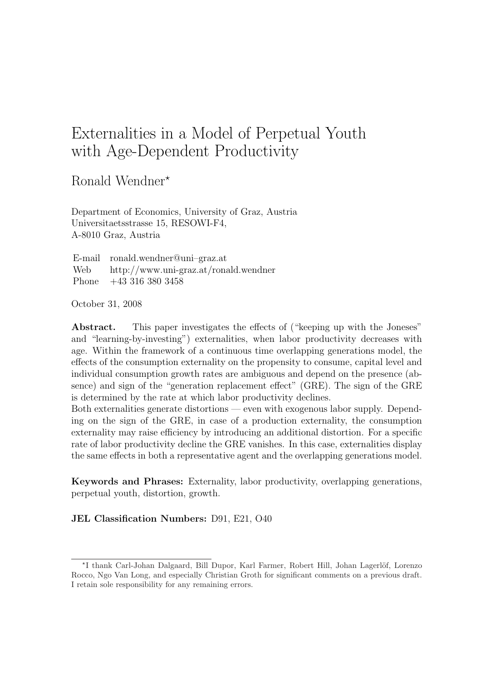# Externalities in a Model of Perpetual Youth with Age-Dependent Productivity

Ronald Wendner<sup>\*</sup>

Department of Economics, University of Graz, Austria Universitaetsstrasse 15, RESOWI-F4, A-8010 Graz, Austria

E-mail ronald.wendner@uni–graz.at Web http://www.uni-graz.at/ronald.wendner Phone +43 316 380 3458

October 31, 2008

Abstract. This paper investigates the effects of ("keeping up with the Joneses" and "learning-by-investing") externalities, when labor productivity decreases with age. Within the framework of a continuous time overlapping generations model, the effects of the consumption externality on the propensity to consume, capital level and individual consumption growth rates are ambiguous and depend on the presence (absence) and sign of the "generation replacement effect" (GRE). The sign of the GRE is determined by the rate at which labor productivity declines.

Both externalities generate distortions — even with exogenous labor supply. Depending on the sign of the GRE, in case of a production externality, the consumption externality may raise efficiency by introducing an additional distortion. For a specific rate of labor productivity decline the GRE vanishes. In this case, externalities display the same effects in both a representative agent and the overlapping generations model.

Keywords and Phrases: Externality, labor productivity, overlapping generations, perpetual youth, distortion, growth.

## JEL Classification Numbers: D91, E21, O40

<sup>\*</sup>I thank Carl-Johan Dalgaard, Bill Dupor, Karl Farmer, Robert Hill, Johan Lagerlöf, Lorenzo Rocco, Ngo Van Long, and especially Christian Groth for significant comments on a previous draft. I retain sole responsibility for any remaining errors.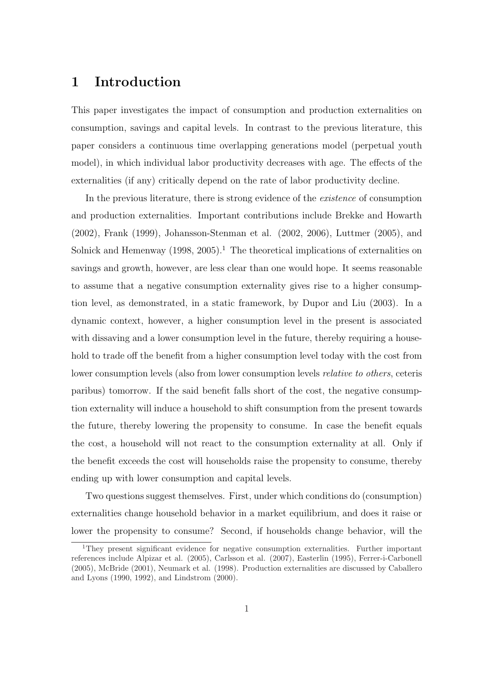## 1 Introduction

This paper investigates the impact of consumption and production externalities on consumption, savings and capital levels. In contrast to the previous literature, this paper considers a continuous time overlapping generations model (perpetual youth model), in which individual labor productivity decreases with age. The effects of the externalities (if any) critically depend on the rate of labor productivity decline.

In the previous literature, there is strong evidence of the existence of consumption and production externalities. Important contributions include Brekke and Howarth (2002), Frank (1999), Johansson-Stenman et al. (2002, 2006), Luttmer (2005), and Solnick and Hemenway  $(1998, 2005)^{1}$ . The theoretical implications of externalities on savings and growth, however, are less clear than one would hope. It seems reasonable to assume that a negative consumption externality gives rise to a higher consumption level, as demonstrated, in a static framework, by Dupor and Liu (2003). In a dynamic context, however, a higher consumption level in the present is associated with dissaving and a lower consumption level in the future, thereby requiring a household to trade off the benefit from a higher consumption level today with the cost from lower consumption levels (also from lower consumption levels relative to others, ceteris paribus) tomorrow. If the said benefit falls short of the cost, the negative consumption externality will induce a household to shift consumption from the present towards the future, thereby lowering the propensity to consume. In case the benefit equals the cost, a household will not react to the consumption externality at all. Only if the benefit exceeds the cost will households raise the propensity to consume, thereby ending up with lower consumption and capital levels.

Two questions suggest themselves. First, under which conditions do (consumption) externalities change household behavior in a market equilibrium, and does it raise or lower the propensity to consume? Second, if households change behavior, will the

<sup>1</sup>They present significant evidence for negative consumption externalities. Further important references include Alpizar et al. (2005), Carlsson et al. (2007), Easterlin (1995), Ferrer-i-Carbonell (2005), McBride (2001), Neumark et al. (1998). Production externalities are discussed by Caballero and Lyons (1990, 1992), and Lindstrom (2000).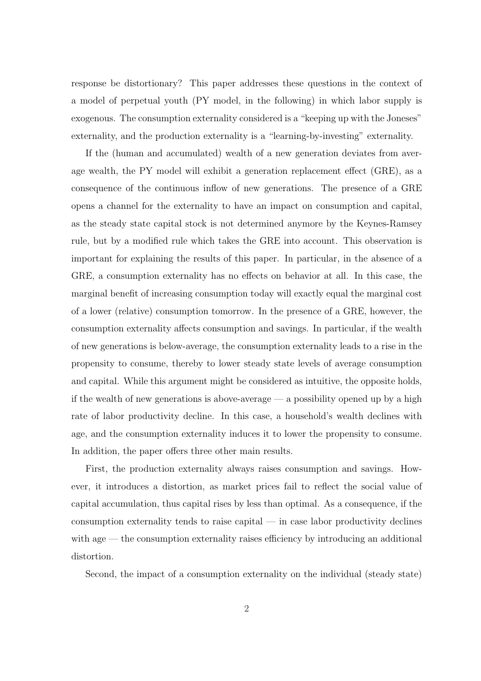response be distortionary? This paper addresses these questions in the context of a model of perpetual youth (PY model, in the following) in which labor supply is exogenous. The consumption externality considered is a "keeping up with the Joneses" externality, and the production externality is a "learning-by-investing" externality.

If the (human and accumulated) wealth of a new generation deviates from average wealth, the PY model will exhibit a generation replacement effect (GRE), as a consequence of the continuous inflow of new generations. The presence of a GRE opens a channel for the externality to have an impact on consumption and capital, as the steady state capital stock is not determined anymore by the Keynes-Ramsey rule, but by a modified rule which takes the GRE into account. This observation is important for explaining the results of this paper. In particular, in the absence of a GRE, a consumption externality has no effects on behavior at all. In this case, the marginal benefit of increasing consumption today will exactly equal the marginal cost of a lower (relative) consumption tomorrow. In the presence of a GRE, however, the consumption externality affects consumption and savings. In particular, if the wealth of new generations is below-average, the consumption externality leads to a rise in the propensity to consume, thereby to lower steady state levels of average consumption and capital. While this argument might be considered as intuitive, the opposite holds, if the wealth of new generations is above-average  $-$  a possibility opened up by a high rate of labor productivity decline. In this case, a household's wealth declines with age, and the consumption externality induces it to lower the propensity to consume. In addition, the paper offers three other main results.

First, the production externality always raises consumption and savings. However, it introduces a distortion, as market prices fail to reflect the social value of capital accumulation, thus capital rises by less than optimal. As a consequence, if the consumption externality tends to raise capital  $-$  in case labor productivity declines with age — the consumption externality raises efficiency by introducing an additional distortion.

Second, the impact of a consumption externality on the individual (steady state)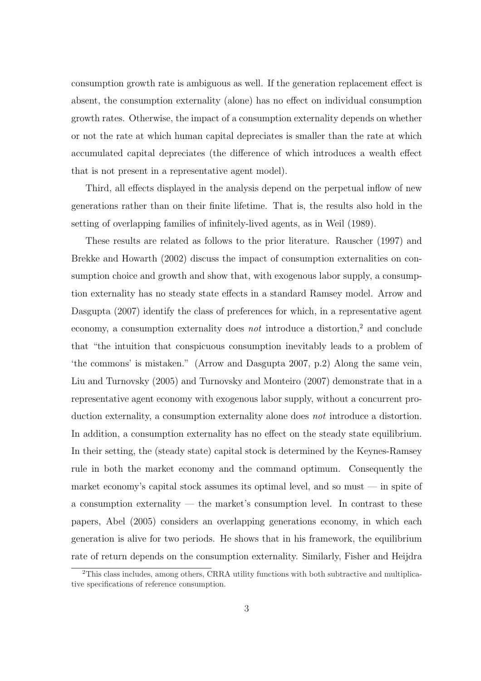consumption growth rate is ambiguous as well. If the generation replacement effect is absent, the consumption externality (alone) has no effect on individual consumption growth rates. Otherwise, the impact of a consumption externality depends on whether or not the rate at which human capital depreciates is smaller than the rate at which accumulated capital depreciates (the difference of which introduces a wealth effect that is not present in a representative agent model).

Third, all effects displayed in the analysis depend on the perpetual inflow of new generations rather than on their finite lifetime. That is, the results also hold in the setting of overlapping families of infinitely-lived agents, as in Weil (1989).

These results are related as follows to the prior literature. Rauscher (1997) and Brekke and Howarth (2002) discuss the impact of consumption externalities on consumption choice and growth and show that, with exogenous labor supply, a consumption externality has no steady state effects in a standard Ramsey model. Arrow and Dasgupta (2007) identify the class of preferences for which, in a representative agent economy, a consumption externality does *not* introduce a distortion,<sup>2</sup> and conclude that "the intuition that conspicuous consumption inevitably leads to a problem of 'the commons' is mistaken." (Arrow and Dasgupta 2007, p.2) Along the same vein, Liu and Turnovsky (2005) and Turnovsky and Monteiro (2007) demonstrate that in a representative agent economy with exogenous labor supply, without a concurrent production externality, a consumption externality alone does not introduce a distortion. In addition, a consumption externality has no effect on the steady state equilibrium. In their setting, the (steady state) capital stock is determined by the Keynes-Ramsey rule in both the market economy and the command optimum. Consequently the market economy's capital stock assumes its optimal level, and so must  $-$  in spite of a consumption externality — the market's consumption level. In contrast to these papers, Abel (2005) considers an overlapping generations economy, in which each generation is alive for two periods. He shows that in his framework, the equilibrium rate of return depends on the consumption externality. Similarly, Fisher and Heijdra

<sup>&</sup>lt;sup>2</sup>This class includes, among others, CRRA utility functions with both subtractive and multiplicative specifications of reference consumption.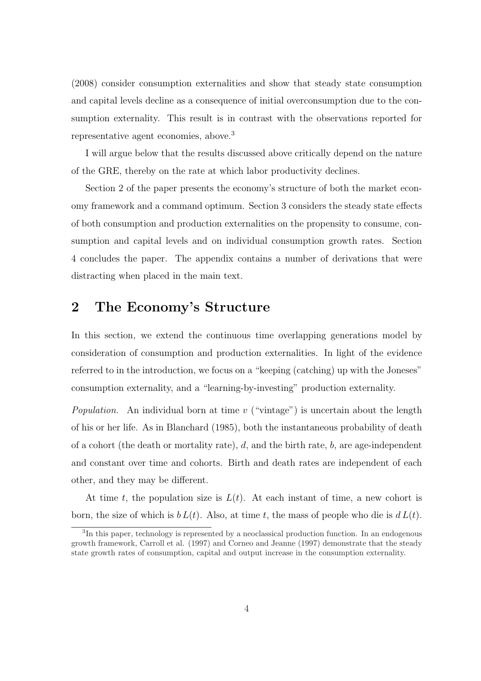(2008) consider consumption externalities and show that steady state consumption and capital levels decline as a consequence of initial overconsumption due to the consumption externality. This result is in contrast with the observations reported for representative agent economies, above.<sup>3</sup>

I will argue below that the results discussed above critically depend on the nature of the GRE, thereby on the rate at which labor productivity declines.

Section 2 of the paper presents the economy's structure of both the market economy framework and a command optimum. Section 3 considers the steady state effects of both consumption and production externalities on the propensity to consume, consumption and capital levels and on individual consumption growth rates. Section 4 concludes the paper. The appendix contains a number of derivations that were distracting when placed in the main text.

## 2 The Economy's Structure

In this section, we extend the continuous time overlapping generations model by consideration of consumption and production externalities. In light of the evidence referred to in the introduction, we focus on a "keeping (catching) up with the Joneses" consumption externality, and a "learning-by-investing" production externality.

*Population.* An individual born at time v ("vintage") is uncertain about the length of his or her life. As in Blanchard (1985), both the instantaneous probability of death of a cohort (the death or mortality rate),  $d$ , and the birth rate,  $b$ , are age-independent and constant over time and cohorts. Birth and death rates are independent of each other, and they may be different.

At time t, the population size is  $L(t)$ . At each instant of time, a new cohort is born, the size of which is  $b L(t)$ . Also, at time t, the mass of people who die is  $d L(t)$ .

<sup>&</sup>lt;sup>3</sup>In this paper, technology is represented by a neoclassical production function. In an endogenous growth framework, Carroll et al. (1997) and Corneo and Jeanne (1997) demonstrate that the steady state growth rates of consumption, capital and output increase in the consumption externality.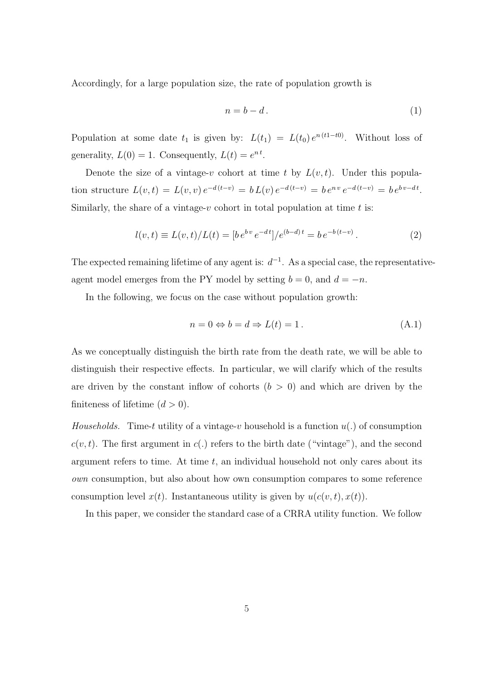Accordingly, for a large population size, the rate of population growth is

$$
n = b - d. \tag{1}
$$

Population at some date  $t_1$  is given by:  $L(t_1) = L(t_0) e^{n(t_1-t_0)}$ . Without loss of generality,  $L(0) = 1$ . Consequently,  $L(t) = e^{nt}$ .

Denote the size of a vintage-v cohort at time t by  $L(v, t)$ . Under this population structure  $L(v,t) = L(v,v) e^{-d(t-v)} = b L(v) e^{-d(t-v)} = b e^{nv} e^{-d(t-v)} = b e^{bv-dt}$ . Similarly, the share of a vintage- $v$  cohort in total population at time  $t$  is:

$$
l(v,t) \equiv L(v,t)/L(t) = [b e^{bv} e^{-dt}] / e^{(b-d)t} = b e^{-b(t-v)}.
$$
\n(2)

The expected remaining lifetime of any agent is:  $d^{-1}$ . As a special case, the representativeagent model emerges from the PY model by setting  $b = 0$ , and  $d = -n$ .

In the following, we focus on the case without population growth:

$$
n = 0 \Leftrightarrow b = d \Rightarrow L(t) = 1.
$$
\n(A.1)

As we conceptually distinguish the birth rate from the death rate, we will be able to distinguish their respective effects. In particular, we will clarify which of the results are driven by the constant inflow of cohorts  $(b > 0)$  and which are driven by the finiteness of lifetime  $(d > 0)$ .

*Households.* Time-t utility of a vintage-v household is a function  $u(.)$  of consumption  $c(v, t)$ . The first argument in  $c(.)$  refers to the birth date ("vintage"), and the second argument refers to time. At time  $t$ , an individual household not only cares about its own consumption, but also about how own consumption compares to some reference consumption level  $x(t)$ . Instantaneous utility is given by  $u(c(v, t), x(t))$ .

In this paper, we consider the standard case of a CRRA utility function. We follow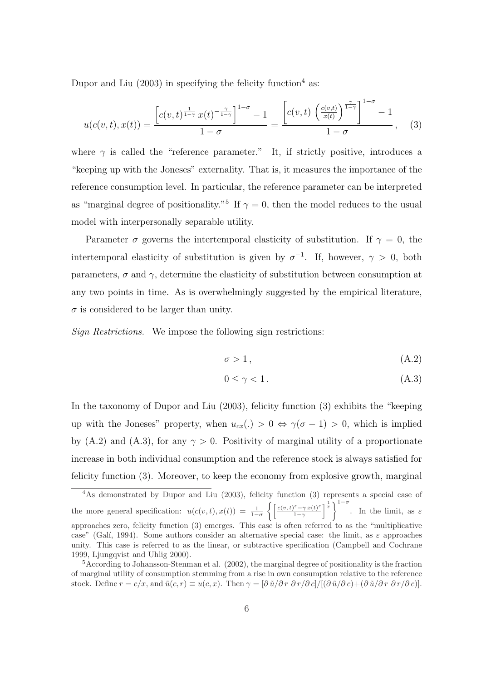Dupor and Liu  $(2003)$  in specifying the felicity function<sup>4</sup> as:

$$
u(c(v,t),x(t)) = \frac{\left[c(v,t)^{\frac{1}{1-\gamma}}x(t)^{-\frac{\gamma}{1-\gamma}}\right]^{1-\sigma} - 1}{1-\sigma} = \frac{\left[c(v,t)\left(\frac{c(v,t)}{x(t)}\right)^{\frac{\gamma}{1-\gamma}}\right]^{1-\sigma} - 1}{1-\sigma}, \quad (3)
$$

where  $\gamma$  is called the "reference parameter." It, if strictly positive, introduces a "keeping up with the Joneses" externality. That is, it measures the importance of the reference consumption level. In particular, the reference parameter can be interpreted as "marginal degree of positionality."<sup>5</sup> If  $\gamma = 0$ , then the model reduces to the usual model with interpersonally separable utility.

Parameter  $\sigma$  governs the intertemporal elasticity of substitution. If  $\gamma = 0$ , the intertemporal elasticity of substitution is given by  $\sigma^{-1}$ . If, however,  $\gamma > 0$ , both parameters,  $\sigma$  and  $\gamma$ , determine the elasticity of substitution between consumption at any two points in time. As is overwhelmingly suggested by the empirical literature,  $\sigma$  is considered to be larger than unity.

Sign Restrictions. We impose the following sign restrictions:

$$
\sigma > 1, \tag{A.2}
$$

$$
0 \le \gamma < 1. \tag{A.3}
$$

In the taxonomy of Dupor and Liu (2003), felicity function (3) exhibits the "keeping up with the Joneses" property, when  $u_{cx}(\cdot) > 0 \Leftrightarrow \gamma(\sigma - 1) > 0$ , which is implied by (A.2) and (A.3), for any  $\gamma > 0$ . Positivity of marginal utility of a proportionate increase in both individual consumption and the reference stock is always satisfied for felicity function (3). Moreover, to keep the economy from explosive growth, marginal

<sup>4</sup>As demonstrated by Dupor and Liu (2003), felicity function (3) represents a special case of the more general specification:  $u(c(v,t),x(t)) = \frac{1}{1-\sigma} \left\{ \left[ \frac{c(v,t)^{\varepsilon} - \gamma x(t)^{\varepsilon}}{1-\gamma} \right] \right\}$  $\left[\frac{\varepsilon-\gamma x(t)^{\varepsilon}}{1-\gamma}\right]^{\frac{1}{\varepsilon}}\Biggr\}^{1-\sigma}$ . In the limit, as  $\varepsilon$ approaches zero, felicity function (3) emerges. This case is often referred to as the "multiplicative case" (Galí, 1994). Some authors consider an alternative special case: the limit, as  $\varepsilon$  approaches unity. This case is referred to as the linear, or subtractive specification (Campbell and Cochrane 1999, Ljungqvist and Uhlig 2000).

<sup>5</sup>According to Johansson-Stenman et al. (2002), the marginal degree of positionality is the fraction of marginal utility of consumption stemming from a rise in own consumption relative to the reference stock. Define  $r = c/x$ , and  $\tilde{u}(c, r) \equiv u(c, x)$ . Then  $\gamma = [\partial \tilde{u}/\partial r \partial r/\partial c]/[(\partial \tilde{u}/\partial c) + (\partial \tilde{u}/\partial r \partial r/\partial c)]$ .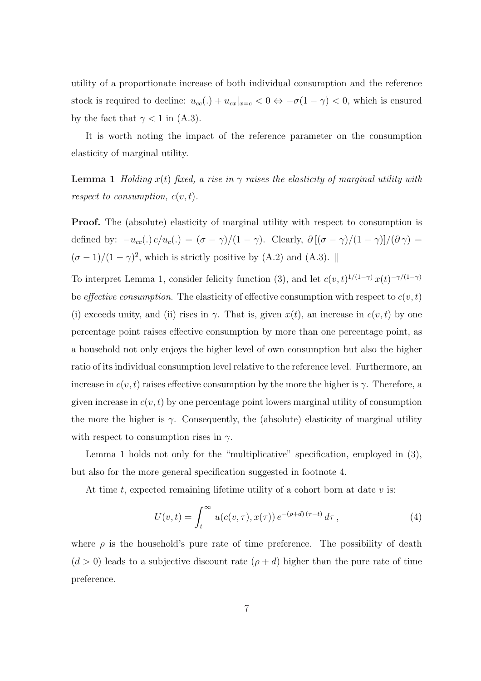utility of a proportionate increase of both individual consumption and the reference stock is required to decline:  $u_{cc}(.) + u_{cx}|_{x=c} < 0 \Leftrightarrow -\sigma(1-\gamma) < 0$ , which is ensured by the fact that  $\gamma < 1$  in (A.3).

It is worth noting the impact of the reference parameter on the consumption elasticity of marginal utility.

**Lemma 1** Holding  $x(t)$  fixed, a rise in  $\gamma$  raises the elasticity of marginal utility with respect to consumption,  $c(v,t)$ .

Proof. The (absolute) elasticity of marginal utility with respect to consumption is defined by:  $-u_{cc}(.) c/u_c(.) = (\sigma - \gamma)/(1 - \gamma)$ . Clearly,  $\partial [(\sigma - \gamma)/(1 - \gamma)]/(\partial \gamma) =$  $(\sigma - 1)/(1 - \gamma)^2$ , which is strictly positive by (A.2) and (A.3). ||

To interpret Lemma 1, consider felicity function (3), and let  $c(v, t)^{1/(1-\gamma)} x(t)^{-\gamma/(1-\gamma)}$ be *effective consumption*. The elasticity of effective consumption with respect to  $c(v,t)$ (i) exceeds unity, and (ii) rises in  $\gamma$ . That is, given  $x(t)$ , an increase in  $c(v, t)$  by one percentage point raises effective consumption by more than one percentage point, as a household not only enjoys the higher level of own consumption but also the higher ratio of its individual consumption level relative to the reference level. Furthermore, an increase in  $c(v, t)$  raises effective consumption by the more the higher is  $\gamma$ . Therefore, a given increase in  $c(v, t)$  by one percentage point lowers marginal utility of consumption the more the higher is  $\gamma$ . Consequently, the (absolute) elasticity of marginal utility with respect to consumption rises in  $\gamma$ .

Lemma 1 holds not only for the "multiplicative" specification, employed in (3), but also for the more general specification suggested in footnote 4.

At time t, expected remaining lifetime utility of a cohort born at date  $v$  is:

$$
U(v,t) = \int_{t}^{\infty} u(c(v,\tau),x(\tau)) e^{-(\rho+d)(\tau-t)} d\tau,
$$
 (4)

where  $\rho$  is the household's pure rate of time preference. The possibility of death  $(d > 0)$  leads to a subjective discount rate  $(\rho + d)$  higher than the pure rate of time preference.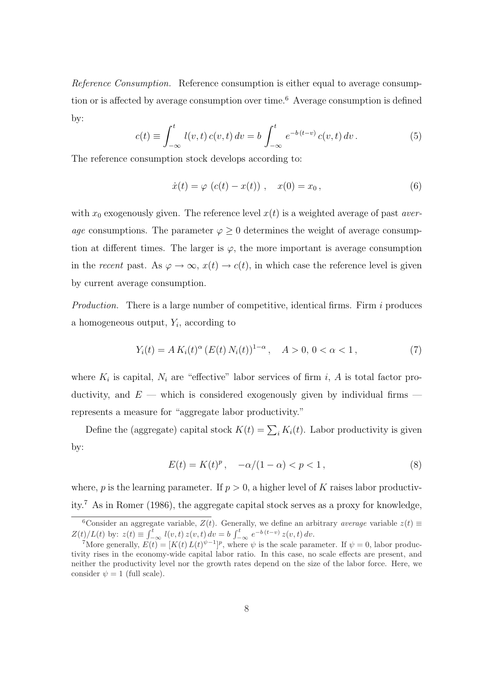Reference Consumption. Reference consumption is either equal to average consumption or is affected by average consumption over time.<sup>6</sup> Average consumption is defined by:

$$
c(t) \equiv \int_{-\infty}^{t} l(v, t) c(v, t) dv = b \int_{-\infty}^{t} e^{-b(t-v)} c(v, t) dv.
$$
 (5)

The reference consumption stock develops according to:

$$
\dot{x}(t) = \varphi \ (c(t) - x(t)) \ , \quad x(0) = x_0 \,, \tag{6}
$$

with  $x_0$  exogenously given. The reference level  $x(t)$  is a weighted average of past average consumptions. The parameter  $\varphi \geq 0$  determines the weight of average consumption at different times. The larger is  $\varphi$ , the more important is average consumption in the recent past. As  $\varphi \to \infty$ ,  $x(t) \to c(t)$ , in which case the reference level is given by current average consumption.

*Production.* There is a large number of competitive, identical firms. Firm  $i$  produces a homogeneous output,  $Y_i$ , according to

$$
Y_i(t) = A K_i(t)^{\alpha} (E(t) N_i(t))^{1-\alpha}, \quad A > 0, 0 < \alpha < 1,
$$
 (7)

where  $K_i$  is capital,  $N_i$  are "effective" labor services of firm i, A is total factor productivity, and  $E$  — which is considered exogenously given by individual firms represents a measure for "aggregate labor productivity."

Define the (aggregate) capital stock  $K(t) = \sum_i K_i(t)$ . Labor productivity is given by:

$$
E(t) = K(t)^p, \quad -\alpha/(1-\alpha) < p < 1,\tag{8}
$$

where, p is the learning parameter. If  $p > 0$ , a higher level of K raises labor productivity.<sup>7</sup> As in Romer (1986), the aggregate capital stock serves as a proxy for knowledge,

<sup>&</sup>lt;sup>6</sup>Consider an aggregate variable,  $Z(t)$ . Generally, we define an arbitrary *average* variable  $z(t) \equiv$  $Z(t)/L(t)$  by:  $z(t) \equiv \int_{-\infty}^{t} l(v, t) z(v, t) dv = b \int_{-\infty}^{t} e^{-b(t-v)} z(v, t) dv$ .

More generally,  $E(t) = [K(t) L(t)^{\psi-1}]^p$ , where  $\psi$  is the scale parameter. If  $\psi = 0$ , labor productivity rises in the economy-wide capital labor ratio. In this case, no scale effects are present, and neither the productivity level nor the growth rates depend on the size of the labor force. Here, we consider  $\psi = 1$  (full scale).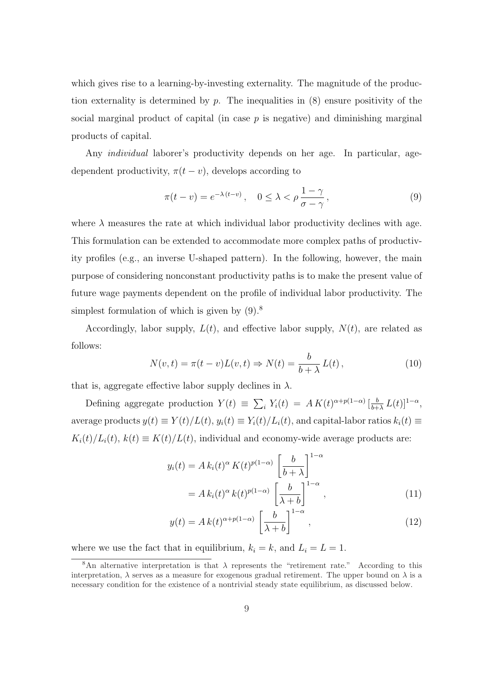which gives rise to a learning-by-investing externality. The magnitude of the production externality is determined by  $p$ . The inequalities in  $(8)$  ensure positivity of the social marginal product of capital (in case  $p$  is negative) and diminishing marginal products of capital.

Any individual laborer's productivity depends on her age. In particular, agedependent productivity,  $\pi(t - v)$ , develops according to

$$
\pi(t - v) = e^{-\lambda(t - v)}, \quad 0 \le \lambda < \rho \frac{1 - \gamma}{\sigma - \gamma},\tag{9}
$$

where  $\lambda$  measures the rate at which individual labor productivity declines with age. This formulation can be extended to accommodate more complex paths of productivity profiles (e.g., an inverse U-shaped pattern). In the following, however, the main purpose of considering nonconstant productivity paths is to make the present value of future wage payments dependent on the profile of individual labor productivity. The simplest formulation of which is given by  $(9)^8$ .

Accordingly, labor supply,  $L(t)$ , and effective labor supply,  $N(t)$ , are related as follows:

$$
N(v,t) = \pi(t-v)L(v,t) \Rightarrow N(t) = \frac{b}{b+\lambda}L(t),
$$
\n(10)

that is, aggregate effective labor supply declines in  $\lambda$ .

Defining aggregate production  $Y(t) \equiv \sum_i Y_i(t) = AK(t)^{\alpha+p(1-\alpha)}\left[\frac{b}{b+1}\right]$  $\frac{b}{b+\lambda} L(t)]^{1-\alpha},$ average products  $y(t) \equiv Y(t)/L(t)$ ,  $y_i(t) \equiv Y_i(t)/L_i(t)$ , and capital-labor ratios  $k_i(t) \equiv$  $K_i(t)/L_i(t)$ ,  $k(t) \equiv K(t)/L(t)$ , individual and economy-wide average products are:

$$
y_i(t) = A k_i(t)^{\alpha} K(t)^{p(1-\alpha)} \left[\frac{b}{b+\lambda}\right]^{1-\alpha}
$$

$$
= A k_i(t)^{\alpha} k(t)^{p(1-\alpha)} \left[\frac{b}{\lambda+b}\right]^{1-\alpha}, \qquad (11)
$$

$$
y(t) = Ak(t)^{\alpha + p(1-\alpha)} \left[\frac{b}{\lambda + b}\right]^{1-\alpha}, \qquad (12)
$$

where we use the fact that in equilibrium,  $k_i = k$ , and  $L_i = L = 1$ .

<sup>&</sup>lt;sup>8</sup>An alternative interpretation is that  $\lambda$  represents the "retirement rate." According to this interpretation,  $\lambda$  serves as a measure for exogenous gradual retirement. The upper bound on  $\lambda$  is a necessary condition for the existence of a nontrivial steady state equilibrium, as discussed below.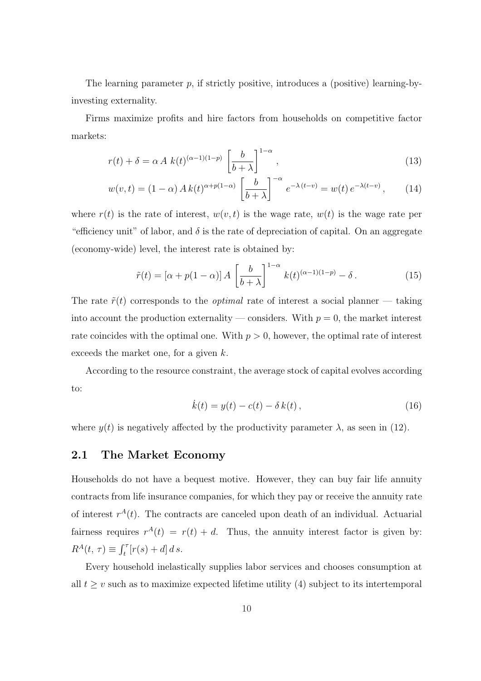The learning parameter  $p$ , if strictly positive, introduces a (positive) learning-byinvesting externality.

Firms maximize profits and hire factors from households on competitive factor markets:

$$
r(t) + \delta = \alpha A k(t)^{(\alpha - 1)(1 - p)} \left[ \frac{b}{b + \lambda} \right]^{1 - \alpha},\tag{13}
$$

$$
w(v,t) = (1 - \alpha) A k(t)^{\alpha + p(1 - \alpha)} \left[\frac{b}{b + \lambda}\right]^{-\alpha} e^{-\lambda(t - v)} = w(t) e^{-\lambda(t - v)}, \quad (14)
$$

where  $r(t)$  is the rate of interest,  $w(v,t)$  is the wage rate,  $w(t)$  is the wage rate per "efficiency unit" of labor, and  $\delta$  is the rate of depreciation of capital. On an aggregate (economy-wide) level, the interest rate is obtained by:

$$
\tilde{r}(t) = \left[\alpha + p(1-\alpha)\right] A \left[\frac{b}{b+\lambda}\right]^{1-\alpha} k(t)^{(\alpha-1)(1-p)} - \delta. \tag{15}
$$

The rate  $\tilde{r}(t)$  corresponds to the *optimal* rate of interest a social planner — taking into account the production externality — considers. With  $p = 0$ , the market interest rate coincides with the optimal one. With  $p > 0$ , however, the optimal rate of interest exceeds the market one, for a given k.

According to the resource constraint, the average stock of capital evolves according to:

$$
\dot{k}(t) = y(t) - c(t) - \delta k(t), \qquad (16)
$$

where  $y(t)$  is negatively affected by the productivity parameter  $\lambda$ , as seen in (12).

## 2.1 The Market Economy

Households do not have a bequest motive. However, they can buy fair life annuity contracts from life insurance companies, for which they pay or receive the annuity rate of interest  $r^{A}(t)$ . The contracts are canceled upon death of an individual. Actuarial fairness requires  $r^{A}(t) = r(t) + d$ . Thus, the annuity interest factor is given by:  $R^A(t, \tau) \equiv \int_t^{\tau} [r(s) + d] \, ds.$ 

Every household inelastically supplies labor services and chooses consumption at all  $t \geq v$  such as to maximize expected lifetime utility (4) subject to its intertemporal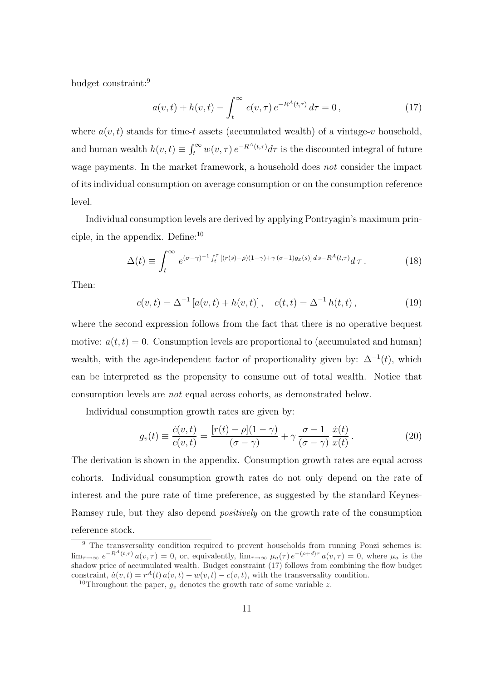budget constraint:<sup>9</sup>

$$
a(v,t) + h(v,t) - \int_{t}^{\infty} c(v,\tau) e^{-R^{A}(t,\tau)} d\tau = 0,
$$
\n(17)

where  $a(v, t)$  stands for time-t assets (accumulated wealth) of a vintage-v household, and human wealth  $h(v, t) \equiv \int_t^{\infty} w(v, \tau) e^{-R^A(t, \tau)} d\tau$  is the discounted integral of future wage payments. In the market framework, a household does *not* consider the impact of its individual consumption on average consumption or on the consumption reference level.

Individual consumption levels are derived by applying Pontryagin's maximum principle, in the appendix. Define:<sup>10</sup>

$$
\Delta(t) \equiv \int_t^\infty e^{(\sigma-\gamma)^{-1} \int_t^\tau \left[ (r(s)-\rho)(1-\gamma) + \gamma(\sigma-1)g_x(s) \right] ds - R^A(t,\tau)} d\tau. \tag{18}
$$

Then:

$$
c(v,t) = \Delta^{-1} [a(v,t) + h(v,t)], \quad c(t,t) = \Delta^{-1} h(t,t), \qquad (19)
$$

where the second expression follows from the fact that there is no operative bequest motive:  $a(t,t) = 0$ . Consumption levels are proportional to (accumulated and human) wealth, with the age-independent factor of proportionality given by:  $\Delta^{-1}(t)$ , which can be interpreted as the propensity to consume out of total wealth. Notice that consumption levels are not equal across cohorts, as demonstrated below.

Individual consumption growth rates are given by:

$$
g_v(t) \equiv \frac{\dot{c}(v,t)}{c(v,t)} = \frac{[r(t) - \rho](1-\gamma)}{(\sigma-\gamma)} + \gamma \frac{\sigma-1}{(\sigma-\gamma)} \frac{\dot{x}(t)}{x(t)}.
$$
 (20)

The derivation is shown in the appendix. Consumption growth rates are equal across cohorts. Individual consumption growth rates do not only depend on the rate of interest and the pure rate of time preference, as suggested by the standard Keynes-Ramsey rule, but they also depend positively on the growth rate of the consumption reference stock.

<sup>&</sup>lt;sup>9</sup> The transversality condition required to prevent households from running Ponzi schemes is:  $\lim_{\tau\to\infty} e^{-R^A(t,\tau)} a(v,\tau) = 0$ , or, equivalently,  $\lim_{\tau\to\infty} \mu_a(\tau) e^{-(\rho+d)\tau} a(v,\tau) = 0$ , where  $\mu_a$  is the shadow price of accumulated wealth. Budget constraint (17) follows from combining the flow budget constraint,  $\dot{a}(v,t) = r^{A}(t) a(v,t) + w(v,t) - c(v,t)$ , with the transversality condition.

<sup>&</sup>lt;sup>10</sup>Throughout the paper,  $q_z$  denotes the growth rate of some variable z.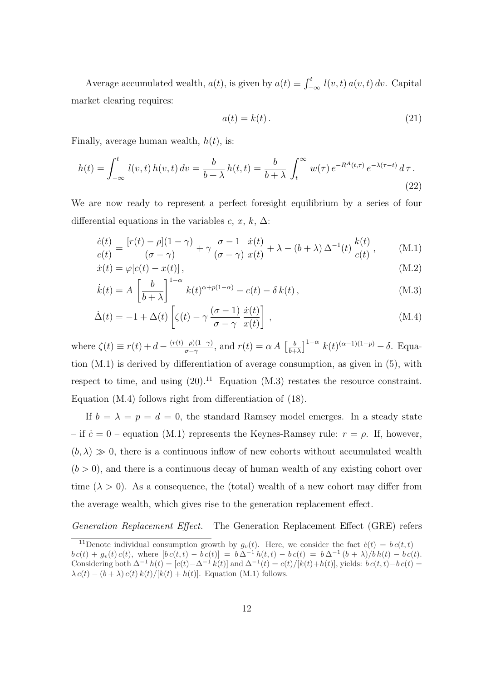Average accumulated wealth,  $a(t)$ , is given by  $a(t) \equiv \int_{-\infty}^{t} l(v, t) a(v, t) dv$ . Capital market clearing requires:

$$
a(t) = k(t). \tag{21}
$$

Finally, average human wealth,  $h(t)$ , is:

$$
h(t) = \int_{-\infty}^{t} l(v, t) h(v, t) dv = \frac{b}{b + \lambda} h(t, t) = \frac{b}{b + \lambda} \int_{t}^{\infty} w(\tau) e^{-R^{A}(t, \tau)} e^{-\lambda(\tau - t)} d\tau.
$$
\n(22)

We are now ready to represent a perfect foresight equilibrium by a series of four differential equations in the variables c, x, k,  $\Delta$ :

$$
\frac{\dot{c}(t)}{c(t)} = \frac{[r(t) - \rho](1 - \gamma)}{(\sigma - \gamma)} + \gamma \frac{\sigma - 1}{(\sigma - \gamma)} \frac{\dot{x}(t)}{x(t)} + \lambda - (b + \lambda) \Delta^{-1}(t) \frac{k(t)}{c(t)}, \quad (M.1)
$$

$$
\dot{x}(t) = \varphi[c(t) - x(t)],\tag{M.2}
$$

$$
\dot{k}(t) = A \left[ \frac{b}{b + \lambda} \right]^{1-\alpha} k(t)^{\alpha + p(1-\alpha)} - c(t) - \delta k(t) , \qquad (M.3)
$$

$$
\dot{\Delta}(t) = -1 + \Delta(t) \left[ \zeta(t) - \gamma \frac{(\sigma - 1)}{\sigma - \gamma} \frac{\dot{x}(t)}{x(t)} \right],
$$
\n(M.4)

where  $\zeta(t) \equiv r(t) + d - \frac{(r(t)-\rho)(1-\gamma)}{\sigma-\gamma}$  $\frac{-\rho(1-\gamma)}{\sigma-\gamma}$ , and  $r(t) = \alpha A \left[\frac{b}{b+\gamma}\right]$  $\frac{b}{b+\lambda}$ ]<sup>1- $\alpha$ </sup>  $k(t)^{(\alpha-1)(1-p)} - \delta$ . Equation (M.1) is derived by differentiation of average consumption, as given in (5), with respect to time, and using  $(20)^{11}$  Equation (M.3) restates the resource constraint. Equation (M.4) follows right from differentiation of (18).

If  $b = \lambda = p = d = 0$ , the standard Ramsey model emerges. In a steady state – if  $\dot{c} = 0$  – equation (M.1) represents the Keynes-Ramsey rule:  $r = \rho$ . If, however,  $(b, \lambda) \gg 0$ , there is a continuous inflow of new cohorts without accumulated wealth  $(b > 0)$ , and there is a continuous decay of human wealth of any existing cohort over time ( $\lambda > 0$ ). As a consequence, the (total) wealth of a new cohort may differ from the average wealth, which gives rise to the generation replacement effect.

Generation Replacement Effect. The Generation Replacement Effect (GRE) refers

<sup>&</sup>lt;sup>11</sup>Denote individual consumption growth by  $g_v(t)$ . Here, we consider the fact  $\dot{c}(t) = b c(t,t)$  –  $b c(t) + g_v(t) c(t)$ , where  $[b c(t, t) - b c(t)] = b \Delta^{-1} h(t, t) - b c(t) = b \Delta^{-1} (b + \lambda)/b h(t) - b c(t)$ . Considering both  $\Delta^{-1} h(t) = [c(t) - \Delta^{-1} k(t)]$  and  $\Delta^{-1}(t) = c(t)/[k(t) + h(t)]$ , yields:  $b c(t, t) - b c(t) =$  $\lambda c(t) - (b + \lambda) c(t) k(t)/[k(t) + h(t)].$  Equation (M.1) follows.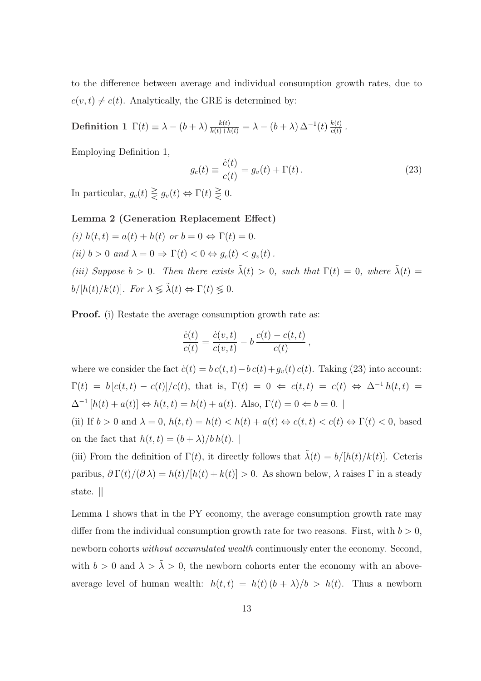to the difference between average and individual consumption growth rates, due to  $c(v, t) \neq c(t)$ . Analytically, the GRE is determined by:

 $\text{Definition 1 }\; \Gamma(t)\equiv \lambda-(b+\lambda)\,\frac{k(t)}{k(t)+h(t)}=\lambda-(b+\lambda)\,\Delta^{-1}(t)\,\frac{k(t)}{c(t)}$  $\frac{\kappa(t)}{c(t)}$ .

Employing Definition 1,

$$
g_c(t) \equiv \frac{\dot{c}(t)}{c(t)} = g_v(t) + \Gamma(t).
$$
\n(23)

,

In particular,  $g_c(t) \geq g_v(t) \Leftrightarrow \Gamma(t) \geq 0$ .

### Lemma 2 (Generation Replacement Effect)

\n- (i) 
$$
h(t, t) = a(t) + h(t)
$$
 or  $b = 0 \Leftrightarrow \Gamma(t) = 0$ .
\n- (ii)  $b > 0$  and  $\lambda = 0 \Rightarrow \Gamma(t) < 0 \Leftrightarrow g_c(t) < g_v(t)$ .
\n- (iii) Suppose  $b > 0$ . Then there exists  $\tilde{\lambda}(t) > 0$ , such that  $\Gamma(t) = 0$ , where  $\tilde{\lambda}(t) = b/[h(t)/k(t)]$ . For  $\lambda \leq \tilde{\lambda}(t) \Leftrightarrow \Gamma(t) \leq 0$ .
\n

**Proof.** (i) Restate the average consumption growth rate as:

$$
\frac{\dot{c}(t)}{c(t)} = \frac{\dot{c}(v,t)}{c(v,t)} - b \frac{c(t) - c(t,t)}{c(t)}
$$

where we consider the fact  $\dot{c}(t) = b c(t, t) - b c(t) + g_v(t) c(t)$ . Taking (23) into account:  $\Gamma(t) = b [c(t,t) - c(t)]/c(t)$ , that is,  $\Gamma(t) = 0 \Leftrightarrow c(t,t) = c(t) \Leftrightarrow \Delta^{-1} h(t,t) =$  $\Delta^{-1}[h(t) + a(t)] \Leftrightarrow h(t,t) = h(t) + a(t)$ . Also,  $\Gamma(t) = 0 \Leftrightarrow b = 0$ .

(ii) If  $b > 0$  and  $\lambda = 0$ ,  $h(t, t) = h(t) < h(t) + a(t) \Leftrightarrow c(t, t) < c(t) \Leftrightarrow \Gamma(t) < 0$ , based on the fact that  $h(t,t) = (b + \lambda)/b h(t)$ .

(iii) From the definition of  $\Gamma(t)$ , it directly follows that  $\tilde{\lambda}(t) = b/[h(t)/k(t)]$ . Ceteris paribus,  $\partial \Gamma(t)/(\partial \lambda) = h(t)/[h(t) + k(t)] > 0$ . As shown below,  $\lambda$  raises  $\Gamma$  in a steady state. ||

Lemma 1 shows that in the PY economy, the average consumption growth rate may differ from the individual consumption growth rate for two reasons. First, with  $b > 0$ , newborn cohorts without accumulated wealth continuously enter the economy. Second, with  $b > 0$  and  $\lambda > \tilde{\lambda} > 0$ , the newborn cohorts enter the economy with an aboveaverage level of human wealth:  $h(t,t) = h(t) (b + \lambda)/b > h(t)$ . Thus a newborn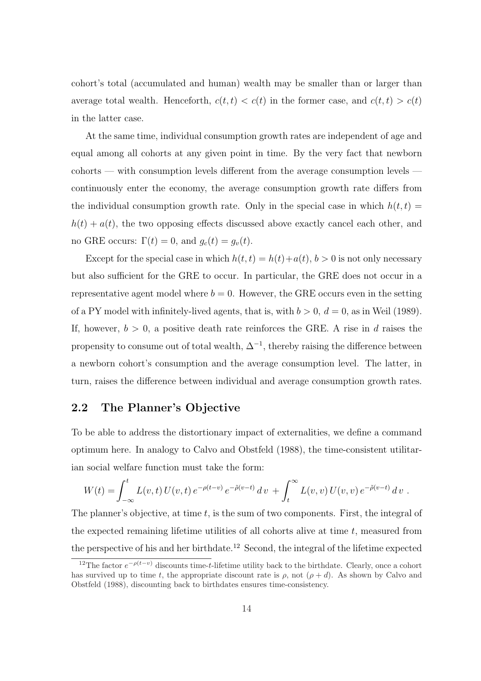cohort's total (accumulated and human) wealth may be smaller than or larger than average total wealth. Henceforth,  $c(t, t) < c(t)$  in the former case, and  $c(t, t) > c(t)$ in the latter case.

At the same time, individual consumption growth rates are independent of age and equal among all cohorts at any given point in time. By the very fact that newborn cohorts — with consumption levels different from the average consumption levels continuously enter the economy, the average consumption growth rate differs from the individual consumption growth rate. Only in the special case in which  $h(t, t)$  =  $h(t) + a(t)$ , the two opposing effects discussed above exactly cancel each other, and no GRE occurs:  $\Gamma(t) = 0$ , and  $g_c(t) = g_v(t)$ .

Except for the special case in which  $h(t, t) = h(t) + a(t), b > 0$  is not only necessary but also sufficient for the GRE to occur. In particular, the GRE does not occur in a representative agent model where  $b = 0$ . However, the GRE occurs even in the setting of a PY model with infinitely-lived agents, that is, with  $b > 0$ ,  $d = 0$ , as in Weil (1989). If, however,  $b > 0$ , a positive death rate reinforces the GRE. A rise in d raises the propensity to consume out of total wealth,  $\Delta^{-1}$ , thereby raising the difference between a newborn cohort's consumption and the average consumption level. The latter, in turn, raises the difference between individual and average consumption growth rates.

## 2.2 The Planner's Objective

To be able to address the distortionary impact of externalities, we define a command optimum here. In analogy to Calvo and Obstfeld (1988), the time-consistent utilitarian social welfare function must take the form:

$$
W(t) = \int_{-\infty}^{t} L(v, t) U(v, t) e^{-\rho(t-v)} e^{-\tilde{\rho}(v-t)} dv + \int_{t}^{\infty} L(v, v) U(v, v) e^{-\tilde{\rho}(v-t)} dv.
$$

The planner's objective, at time  $t$ , is the sum of two components. First, the integral of the expected remaining lifetime utilities of all cohorts alive at time  $t$ , measured from the perspective of his and her birthdate.<sup>12</sup> Second, the integral of the lifetime expected

<sup>&</sup>lt;sup>12</sup>The factor  $e^{-\rho(t-v)}$  discounts time-t-lifetime utility back to the birthdate. Clearly, once a cohort has survived up to time t, the appropriate discount rate is  $\rho$ , not  $(\rho + d)$ . As shown by Calvo and Obstfeld (1988), discounting back to birthdates ensures time-consistency.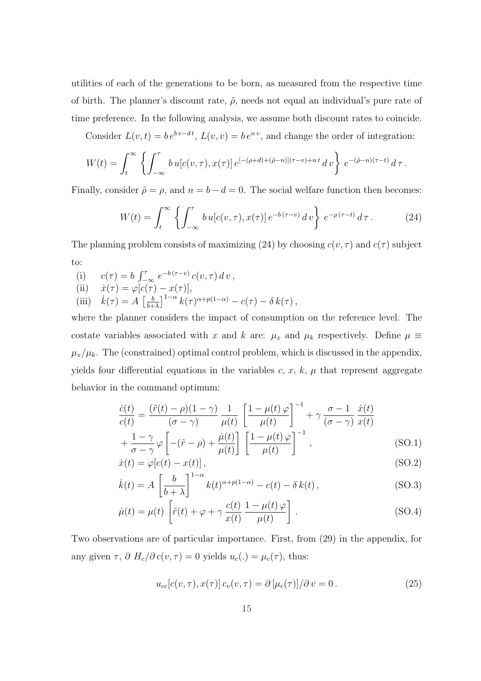utilities of each of the generations to be born, as measured from the respective time of birth. The planner's discount rate,  $\tilde{\rho}$ , needs not equal an individual's pure rate of time preference. In the following analysis, we assume both discount rates to coincide.

Consider  $L(v,t) = be^{bv-dt}$ ,  $L(v,v) = be^{nv}$ , and change the order of integration:

$$
W(t) = \int_t^{\infty} \left\{ \int_{-\infty}^{\tau} b u[c(v,\tau),x(\tau)] e^{[-(\rho+d)+(\tilde{\rho}-n)](\tau-v)+nt} dv \right\} e^{-(\tilde{\rho}-n)(\tau-t)} d\tau.
$$

Finally, consider  $\tilde{\rho} = \rho$ , and  $n = b - d = 0$ . The social welfare function then becomes:

$$
W(t) = \int_t^{\infty} \left\{ \int_{-\infty}^{\tau} b u[c(v,\tau), x(\tau)] e^{-b(\tau - v)} dv \right\} e^{-\rho(\tau - t)} d\tau.
$$
 (24)

The planning problem consists of maximizing (24) by choosing  $c(v, \tau)$  and  $c(\tau)$  subject to:

(i) 
$$
c(\tau) = b \int_{-\infty}^{\tau} e^{-b(\tau - v)} c(v, \tau) dv,
$$
  
\n(ii) 
$$
\dot{x}(\tau) = \varphi[c(\tau) - x(\tau)],
$$
  
\n(iii) 
$$
\dot{k}(\tau) = A \left[\frac{b}{b+\lambda}\right]^{1-\alpha} k(\tau)^{\alpha+p(1-\alpha)} - c(\tau) - \delta k(\tau),
$$

where the planner considers the impact of consumption on the reference level. The costate variables associated with x and k are:  $\mu_x$  and  $\mu_k$  respectively. Define  $\mu \equiv$  $\mu_x/\mu_k$ . The (constrained) optimal control problem, which is discussed in the appendix, yields four differential equations in the variables  $c, x, k, \mu$  that represent aggregate behavior in the command optimum:

$$
\frac{\dot{c}(t)}{c(t)} = \frac{(\tilde{r}(t) - \rho)(1 - \gamma)}{(\sigma - \gamma)} \frac{1}{\mu(t)} \left[ \frac{1 - \mu(t)\varphi}{\mu(t)} \right]^{-1} + \gamma \frac{\sigma - 1}{(\sigma - \gamma)} \frac{\dot{x}(t)}{x(t)} + \frac{1 - \gamma}{\sigma - \gamma} \varphi \left[ -(\tilde{r} - \rho) + \frac{\dot{\mu}(t)}{\mu(t)} \right] \left[ \frac{1 - \mu(t)\varphi}{\mu(t)} \right]^{-1}, \tag{SO.1}
$$

$$
\dot{x}(t) = \varphi[c(t) - x(t)],
$$
\n
$$
(\text{SO}.2)
$$

$$
\dot{k}(t) = A \left[ \frac{b}{b + \lambda} \right]^{1-\alpha} k(t)^{\alpha + p(1-\alpha)} - c(t) - \delta k(t), \qquad (SO.3)
$$

$$
\dot{\mu}(t) = \mu(t) \left[ \tilde{r}(t) + \varphi + \gamma \frac{c(t)}{x(t)} \frac{1 - \mu(t) \varphi}{\mu(t)} \right].
$$
\n(SO.4)

Two observations are of particular importance. First, from (29) in the appendix, for any given  $\tau$ ,  $\partial H_c/\partial c(v, \tau) = 0$  yields  $u_c(.) = \mu_c(\tau)$ , thus:

$$
u_{cc}[c(v,\tau),x(\tau)]c_v(v,\tau) = \partial \left[\mu_c(\tau)\right]/\partial v = 0.
$$
\n(25)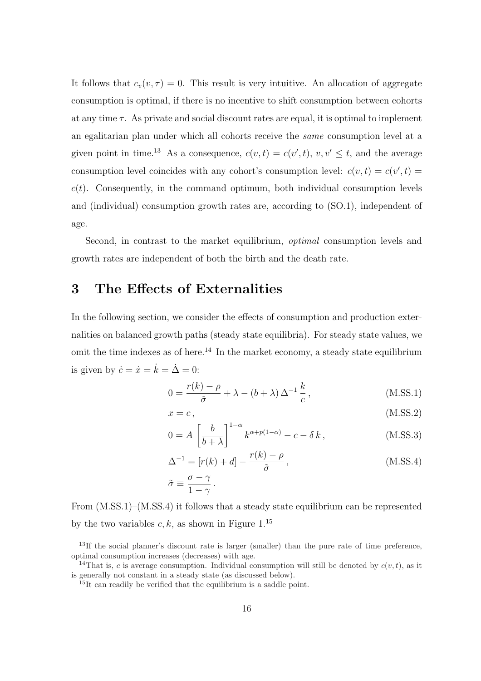It follows that  $c_v(v, \tau) = 0$ . This result is very intuitive. An allocation of aggregate consumption is optimal, if there is no incentive to shift consumption between cohorts at any time  $\tau$ . As private and social discount rates are equal, it is optimal to implement an egalitarian plan under which all cohorts receive the same consumption level at a given point in time.<sup>13</sup> As a consequence,  $c(v,t) = c(v',t)$ ,  $v, v' \leq t$ , and the average consumption level coincides with any cohort's consumption level:  $c(v, t) = c(v', t) =$  $c(t)$ . Consequently, in the command optimum, both individual consumption levels and (individual) consumption growth rates are, according to (SO.1), independent of age.

Second, in contrast to the market equilibrium, optimal consumption levels and growth rates are independent of both the birth and the death rate.

## 3 The Effects of Externalities

In the following section, we consider the effects of consumption and production externalities on balanced growth paths (steady state equilibria). For steady state values, we omit the time indexes as of here.<sup>14</sup> In the market economy, a steady state equilibrium is given by  $\dot{c} = \dot{x} = \dot{k} = \dot{\Delta} = 0$ :

$$
0 = \frac{r(k) - \rho}{\tilde{\sigma}} + \lambda - (b + \lambda) \Delta^{-1} \frac{k}{c},
$$
 (M.SS.1)

$$
x = c, \tag{M. SS.2}
$$

$$
0 = A \left[ \frac{b}{b + \lambda} \right]^{1-\alpha} k^{\alpha + p(1-\alpha)} - c - \delta k, \qquad (M.SS.3)
$$

$$
\Delta^{-1} = [r(k) + d] - \frac{r(k) - \rho}{\tilde{\sigma}},
$$
\n
$$
\tilde{\sigma} \equiv \frac{\sigma - \gamma}{1 - \gamma}.
$$
\n(M.SS.4)

From (M.SS.1)–(M.SS.4) it follows that a steady state equilibrium can be represented by the two variables  $c, k$ , as shown in Figure 1.<sup>15</sup>

<sup>&</sup>lt;sup>13</sup>If the social planner's discount rate is larger (smaller) than the pure rate of time preference, optimal consumption increases (decreases) with age.

<sup>&</sup>lt;sup>14</sup>That is, c is average consumption. Individual consumption will still be denoted by  $c(v, t)$ , as it is generally not constant in a steady state (as discussed below).

 $15$ It can readily be verified that the equilibrium is a saddle point.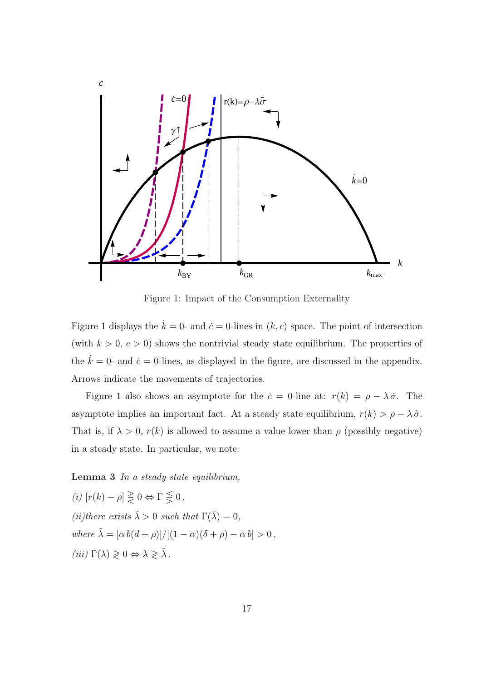

Figure 1: Impact of the Consumption Externality

Figure 1 displays the  $\dot{k} = 0$ - and  $\dot{c} = 0$ -lines in  $(k, c)$  space. The point of intersection (with  $k > 0, c > 0$ ) shows the nontrivial steady state equilibrium. The properties of the  $\dot{k} = 0$ - and  $\dot{c} = 0$ -lines, as displayed in the figure, are discussed in the appendix. Arrows indicate the movements of trajectories.

Figure 1 also shows an asymptote for the  $\dot{c} = 0$ -line at:  $r(k) = \rho - \lambda \tilde{\sigma}$ . The asymptote implies an important fact. At a steady state equilibrium,  $r(k) > \rho - \lambda \tilde{\sigma}$ . That is, if  $\lambda > 0$ ,  $r(k)$  is allowed to assume a value lower than  $\rho$  (possibly negative) in a steady state. In particular, we note:

### Lemma 3 In a steady state equilibrium,

(i)  $[r(k) - \rho] \geq 0 \Leftrightarrow \Gamma \leq 0$ , (ii)there exists  $\tilde{\lambda} > 0$  such that  $\Gamma(\tilde{\lambda}) = 0$ , where  $\tilde{\lambda} = [\alpha b(d+\rho)]/[(1-\alpha)(\delta+\rho) - \alpha b] > 0$ , (iii)  $\Gamma(\lambda) \geq 0 \Leftrightarrow \lambda \geq \tilde{\lambda}$ .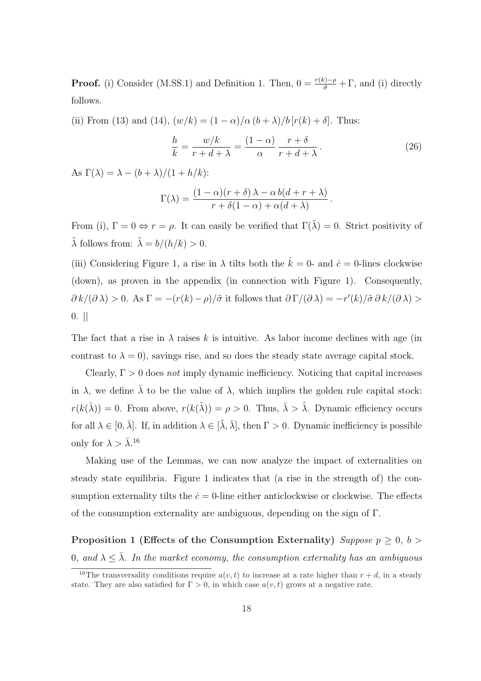**Proof.** (i) Consider (M.SS.1) and Definition 1. Then,  $0 = \frac{r(k)-\rho}{\tilde{\sigma}} + \Gamma$ , and (i) directly follows.

(ii) From (13) and (14),  $(w/k) = (1 - \alpha)/\alpha (b + \lambda)/b [r(k) + \delta]$ . Thus:

$$
\frac{h}{k} = \frac{w/k}{r+d+\lambda} = \frac{(1-\alpha)}{\alpha} \frac{r+\delta}{r+d+\lambda}.
$$
\n(26)

As  $\Gamma(\lambda) = \lambda - (b + \lambda)/(1 + h/k)$ :

$$
\Gamma(\lambda) = \frac{(1-\alpha)(r+\delta)\lambda - \alpha b(d+r+\lambda)}{r+\delta(1-\alpha) + \alpha(d+\lambda)}.
$$

From (i),  $\Gamma = 0 \Leftrightarrow r = \rho$ . It can easily be verified that  $\Gamma(\tilde{\lambda}) = 0$ . Strict positivity of  $\tilde{\lambda}$  follows from:  $\tilde{\lambda} = b/(h/k) > 0$ .

(iii) Considering Figure 1, a rise in  $\lambda$  tilts both the  $\dot{k} = 0$ - and  $\dot{c} = 0$ -lines clockwise (down), as proven in the appendix (in connection with Figure 1). Consequently,  $\partial k/(\partial \lambda) > 0$ . As  $\Gamma = -(r(k) - \rho)/\tilde{\sigma}$  it follows that  $\partial \Gamma/(\partial \lambda) = -r'(k)/\tilde{\sigma} \partial k/(\partial \lambda) > 0$  $0.$  ||

The fact that a rise in  $\lambda$  raises k is intuitive. As labor income declines with age (in contrast to  $\lambda = 0$ , savings rise, and so does the steady state average capital stock.

Clearly,  $\Gamma > 0$  does not imply dynamic inefficiency. Noticing that capital increases in  $\lambda$ , we define  $\bar{\lambda}$  to be the value of  $\lambda$ , which implies the golden rule capital stock:  $r(k(\bar{\lambda})) = 0$ . From above,  $r(k(\tilde{\lambda})) = \rho > 0$ . Thus,  $\bar{\lambda} > \tilde{\lambda}$ . Dynamic efficiency occurs for all  $\lambda \in [0, \bar{\lambda}]$ . If, in addition  $\lambda \in [\tilde{\lambda}, \bar{\lambda}]$ , then  $\Gamma > 0$ . Dynamic inefficiency is possible only for  $\lambda > \bar{\lambda}$ .<sup>16</sup>

Making use of the Lemmas, we can now analyze the impact of externalities on steady state equilibria. Figure 1 indicates that (a rise in the strength of) the consumption externality tilts the  $\dot{c} = 0$ -line either anticlockwise or clockwise. The effects of the consumption externality are ambiguous, depending on the sign of Γ.

Proposition 1 (Effects of the Consumption Externality) Suppose  $p \geq 0$ ,  $b >$ 0, and  $\lambda \leq \bar{\lambda}$ . In the market economy, the consumption externality has an ambiguous

<sup>&</sup>lt;sup>16</sup>The transversality conditions require  $a(v, t)$  to increase at a rate higher than  $r + d$ , in a steady state. They are also satisfied for  $\Gamma > 0$ , in which case  $a(v, t)$  grows at a negative rate.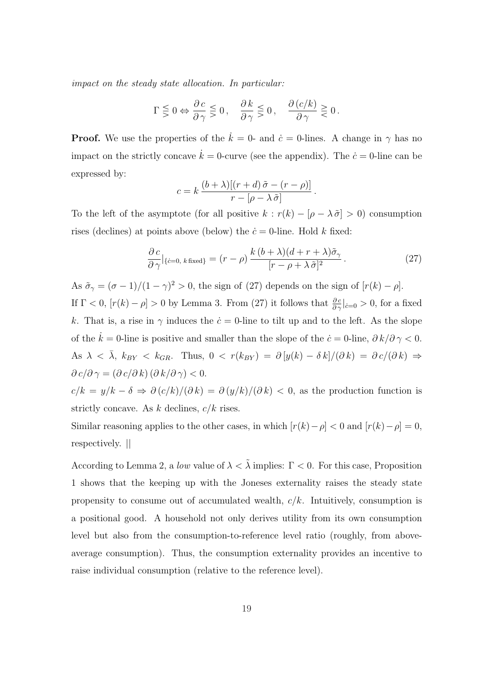impact on the steady state allocation. In particular:

$$
\Gamma \lesseqgtr 0 \Leftrightarrow \frac{\partial c}{\partial \gamma} \lesseqgtr 0, \quad \frac{\partial k}{\partial \gamma} \lesseqgtr 0, \quad \frac{\partial (c/k)}{\partial \gamma} \gtrless 0.
$$

**Proof.** We use the properties of the  $\dot{k} = 0$ - and  $\dot{c} = 0$ -lines. A change in  $\gamma$  has no impact on the strictly concave  $\dot{k} = 0$ -curve (see the appendix). The  $\dot{c} = 0$ -line can be expressed by:

$$
c = k \frac{(b + \lambda)[(r + d)\tilde{\sigma} - (r - \rho)]}{r - [\rho - \lambda \tilde{\sigma}]}.
$$

To the left of the asymptote (for all positive  $k : r(k) - [\rho - \lambda \tilde{\sigma}] > 0$ ) consumption rises (declines) at points above (below) the  $\dot{c} = 0$ -line. Hold k fixed:

$$
\frac{\partial c}{\partial \gamma}|_{\{c=0,\ k\text{ fixed}\}} = (r-\rho) \frac{k(b+\lambda)(d+r+\lambda)\tilde{\sigma}_{\gamma}}{[r-\rho+\lambda\tilde{\sigma}]^2}.
$$
\n(27)

As  $\tilde{\sigma}_{\gamma} = (\sigma - 1)/(1 - \gamma)^2 > 0$ , the sign of (27) depends on the sign of  $[r(k) - \rho]$ .

If  $\Gamma < 0$ ,  $[r(k) - \rho] > 0$  by Lemma 3. From (27) it follows that  $\frac{\partial c}{\partial \gamma}|_{\dot{c}=0} > 0$ , for a fixed k. That is, a rise in  $\gamma$  induces the  $\dot{c} = 0$ -line to tilt up and to the left. As the slope of the  $k = 0$ -line is positive and smaller than the slope of the  $\dot{c} = 0$ -line,  $\partial k/\partial \gamma < 0$ . As  $\lambda < \overline{\lambda}$ ,  $k_{BY} < k_{GR}$ . Thus,  $0 < r(k_{BY}) = \partial [y(k) - \delta k]/(\partial k) = \partial c/(\partial k) \Rightarrow$  $\partial c/\partial \gamma = (\partial c/\partial k) (\partial k/\partial \gamma) < 0.$ 

 $c/k = y/k - \delta \Rightarrow \partial (c/k)/(\partial k) = \partial (y/k)/(\partial k) < 0$ , as the production function is strictly concave. As  $k$  declines,  $c/k$  rises.

Similar reasoning applies to the other cases, in which  $[r(k)-\rho] < 0$  and  $[r(k)-\rho] = 0$ , respectively. ||

According to Lemma 2, a low value of  $\lambda < \tilde{\lambda}$  implies:  $\Gamma < 0$ . For this case, Proposition 1 shows that the keeping up with the Joneses externality raises the steady state propensity to consume out of accumulated wealth,  $c/k$ . Intuitively, consumption is a positional good. A household not only derives utility from its own consumption level but also from the consumption-to-reference level ratio (roughly, from aboveaverage consumption). Thus, the consumption externality provides an incentive to raise individual consumption (relative to the reference level).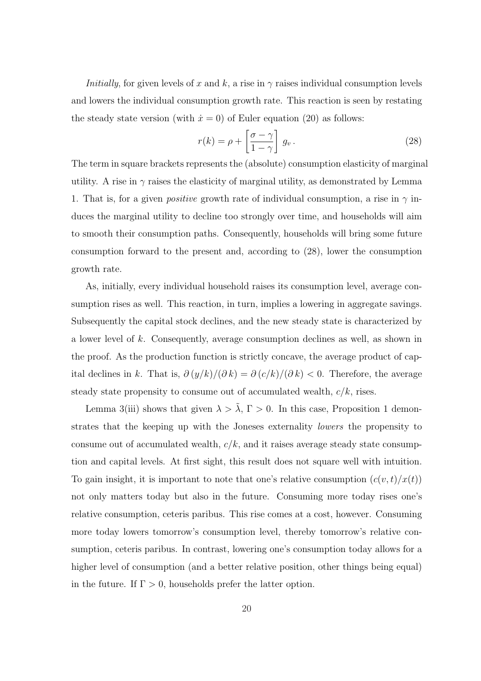*Initially*, for given levels of x and k, a rise in  $\gamma$  raises individual consumption levels and lowers the individual consumption growth rate. This reaction is seen by restating the steady state version (with  $\dot{x} = 0$ ) of Euler equation (20) as follows:

$$
r(k) = \rho + \left[\frac{\sigma - \gamma}{1 - \gamma}\right] g_v.
$$
 (28)

The term in square brackets represents the (absolute) consumption elasticity of marginal utility. A rise in  $\gamma$  raises the elasticity of marginal utility, as demonstrated by Lemma 1. That is, for a given *positive* growth rate of individual consumption, a rise in  $\gamma$  induces the marginal utility to decline too strongly over time, and households will aim to smooth their consumption paths. Consequently, households will bring some future consumption forward to the present and, according to (28), lower the consumption growth rate.

As, initially, every individual household raises its consumption level, average consumption rises as well. This reaction, in turn, implies a lowering in aggregate savings. Subsequently the capital stock declines, and the new steady state is characterized by a lower level of k. Consequently, average consumption declines as well, as shown in the proof. As the production function is strictly concave, the average product of capital declines in k. That is,  $\partial (y/k)/(\partial k) = \partial (c/k)/(\partial k) < 0$ . Therefore, the average steady state propensity to consume out of accumulated wealth,  $c/k$ , rises.

Lemma 3(iii) shows that given  $\lambda > \tilde{\lambda}$ ,  $\Gamma > 0$ . In this case, Proposition 1 demonstrates that the keeping up with the Joneses externality lowers the propensity to consume out of accumulated wealth,  $c/k$ , and it raises average steady state consumption and capital levels. At first sight, this result does not square well with intuition. To gain insight, it is important to note that one's relative consumption  $(c(v,t)/x(t))$ not only matters today but also in the future. Consuming more today rises one's relative consumption, ceteris paribus. This rise comes at a cost, however. Consuming more today lowers tomorrow's consumption level, thereby tomorrow's relative consumption, ceteris paribus. In contrast, lowering one's consumption today allows for a higher level of consumption (and a better relative position, other things being equal) in the future. If  $\Gamma > 0$ , households prefer the latter option.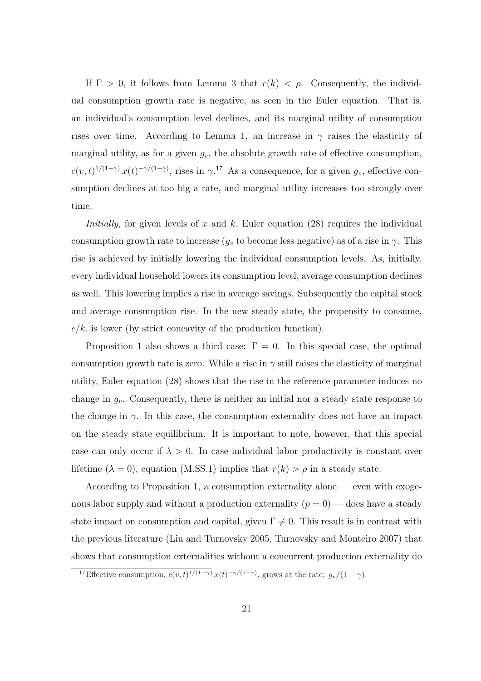If  $\Gamma > 0$ , it follows from Lemma 3 that  $r(k) < \rho$ . Consequently, the individual consumption growth rate is negative, as seen in the Euler equation. That is, an individual's consumption level declines, and its marginal utility of consumption rises over time. According to Lemma 1, an increase in  $\gamma$  raises the elasticity of marginal utility, as for a given  $g_v$ , the absolute growth rate of effective consumption,  $c(v,t)^{1/(1-\gamma)}x(t)^{-\gamma/(1-\gamma)}$ , rises in  $\gamma$ .<sup>17</sup> As a consequence, for a given  $g_v$ , effective consumption declines at too big a rate, and marginal utility increases too strongly over time.

*Initially*, for given levels of x and k, Euler equation  $(28)$  requires the individual consumption growth rate to increase  $(g_v$  to become less negative) as of a rise in  $\gamma$ . This rise is achieved by initially lowering the individual consumption levels. As, initially, every individual household lowers its consumption level, average consumption declines as well. This lowering implies a rise in average savings. Subsequently the capital stock and average consumption rise. In the new steady state, the propensity to consume,  $c/k$ , is lower (by strict concavity of the production function).

Proposition 1 also shows a third case:  $\Gamma = 0$ . In this special case, the optimal consumption growth rate is zero. While a rise in  $\gamma$  still raises the elasticity of marginal utility, Euler equation (28) shows that the rise in the reference parameter induces no change in  $g_v$ . Consequently, there is neither an initial nor a steady state response to the change in  $\gamma$ . In this case, the consumption externality does not have an impact on the steady state equilibrium. It is important to note, however, that this special case can only occur if  $\lambda > 0$ . In case individual labor productivity is constant over lifetime ( $\lambda = 0$ ), equation (M.SS.1) implies that  $r(k) > \rho$  in a steady state.

According to Proposition 1, a consumption externality alone — even with exogenous labor supply and without a production externality  $(p = 0)$  — does have a steady state impact on consumption and capital, given  $\Gamma \neq 0$ . This result is in contrast with the previous literature (Liu and Turnovsky 2005, Turnovsky and Monteiro 2007) that shows that consumption externalities without a concurrent production externality do

<sup>&</sup>lt;sup>17</sup>Effective consumption,  $c(v, t)^{1/(1-\gamma)} x(t)^{-\gamma/(1-\gamma)}$ , grows at the rate:  $g_v/(1-\gamma)$ .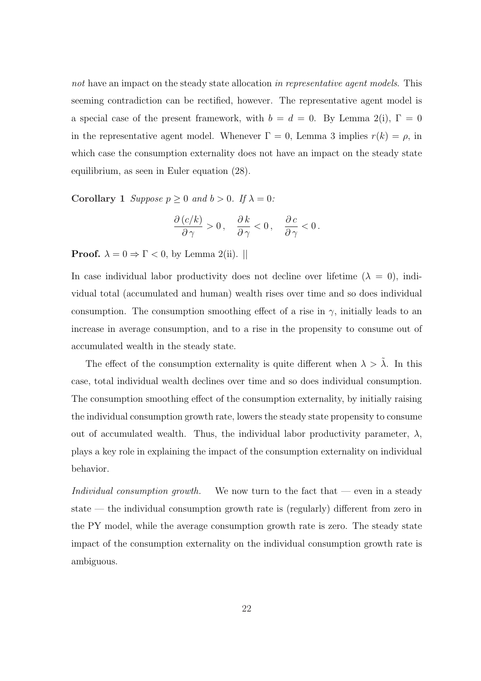not have an impact on the steady state allocation in representative agent models. This seeming contradiction can be rectified, however. The representative agent model is a special case of the present framework, with  $b = d = 0$ . By Lemma 2(i),  $\Gamma = 0$ in the representative agent model. Whenever  $\Gamma = 0$ , Lemma 3 implies  $r(k) = \rho$ , in which case the consumption externality does not have an impact on the steady state equilibrium, as seen in Euler equation (28).

Corollary 1 Suppose  $p \ge 0$  and  $b > 0$ . If  $\lambda = 0$ :

$$
\frac{\partial (c/k)}{\partial \gamma} > 0\,, \quad \frac{\partial k}{\partial \gamma} < 0\,, \quad \frac{\partial c}{\partial \gamma} < 0\,.
$$

**Proof.**  $\lambda = 0 \Rightarrow \Gamma < 0$ , by Lemma 2(ii). ||

In case individual labor productivity does not decline over lifetime  $(\lambda = 0)$ , individual total (accumulated and human) wealth rises over time and so does individual consumption. The consumption smoothing effect of a rise in  $\gamma$ , initially leads to an increase in average consumption, and to a rise in the propensity to consume out of accumulated wealth in the steady state.

The effect of the consumption externality is quite different when  $\lambda > \tilde{\lambda}$ . In this case, total individual wealth declines over time and so does individual consumption. The consumption smoothing effect of the consumption externality, by initially raising the individual consumption growth rate, lowers the steady state propensity to consume out of accumulated wealth. Thus, the individual labor productivity parameter,  $\lambda$ , plays a key role in explaining the impact of the consumption externality on individual behavior.

Individual consumption growth. We now turn to the fact that  $-$  even in a steady state — the individual consumption growth rate is (regularly) different from zero in the PY model, while the average consumption growth rate is zero. The steady state impact of the consumption externality on the individual consumption growth rate is ambiguous.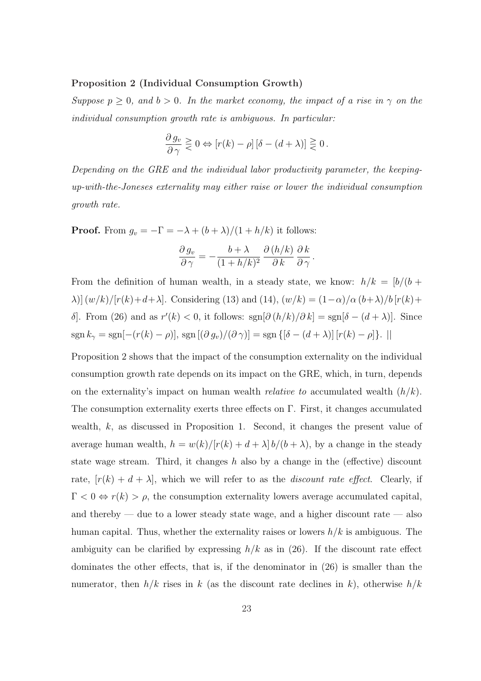#### Proposition 2 (Individual Consumption Growth)

Suppose  $p \geq 0$ , and  $b > 0$ . In the market economy, the impact of a rise in  $\gamma$  on the individual consumption growth rate is ambiguous. In particular:

$$
\frac{\partial g_v}{\partial \gamma} \geq 0 \Leftrightarrow [r(k) - \rho] [\delta - (d + \lambda)] \geq 0.
$$

Depending on the GRE and the individual labor productivity parameter, the keepingup-with-the-Joneses externality may either raise or lower the individual consumption growth rate.

**Proof.** From  $g_v = -\Gamma = -\lambda + (b + \lambda)/(1 + h/k)$  it follows:

$$
\frac{\partial g_v}{\partial \gamma} = -\frac{b + \lambda}{(1 + h/k)^2} \frac{\partial (h/k)}{\partial k} \frac{\partial k}{\partial \gamma}.
$$

From the definition of human wealth, in a steady state, we know:  $h/k = [b/(b +$  $\lambda$ )]  $(w/k)/[r(k)+d+\lambda]$ . Considering (13) and (14),  $(w/k) = (1-\alpha)/\alpha (b+\lambda)/b [r(k)+d+\lambda]$ . δ. From (26) and as  $r'(k) < 0$ , it follows:  $sgn[∂(h/k)/∂k] = sgn[∂-(d+λ)]$ . Since sgn  $k_{\gamma} = \text{sgn}[-(r(k) - \rho)], \text{ sgn}[(\partial g_v)/(\partial \gamma)] = \text{sgn}[(\delta - (d + \lambda)][r(k) - \rho]].$ 

Proposition 2 shows that the impact of the consumption externality on the individual consumption growth rate depends on its impact on the GRE, which, in turn, depends on the externality's impact on human wealth *relative to* accumulated wealth  $(h/k)$ . The consumption externality exerts three effects on Γ. First, it changes accumulated wealth, k, as discussed in Proposition 1. Second, it changes the present value of average human wealth,  $h = w(k)/[r(k) + d + \lambda] b/(b + \lambda)$ , by a change in the steady state wage stream. Third, it changes h also by a change in the (effective) discount rate,  $[r(k) + d + \lambda]$ , which we will refer to as the *discount rate effect*. Clearly, if  $\Gamma < 0 \Leftrightarrow r(k) > \rho$ , the consumption externality lowers average accumulated capital, and thereby — due to a lower steady state wage, and a higher discount rate — also human capital. Thus, whether the externality raises or lowers  $h/k$  is ambiguous. The ambiguity can be clarified by expressing  $h/k$  as in (26). If the discount rate effect dominates the other effects, that is, if the denominator in (26) is smaller than the numerator, then  $h/k$  rises in k (as the discount rate declines in k), otherwise  $h/k$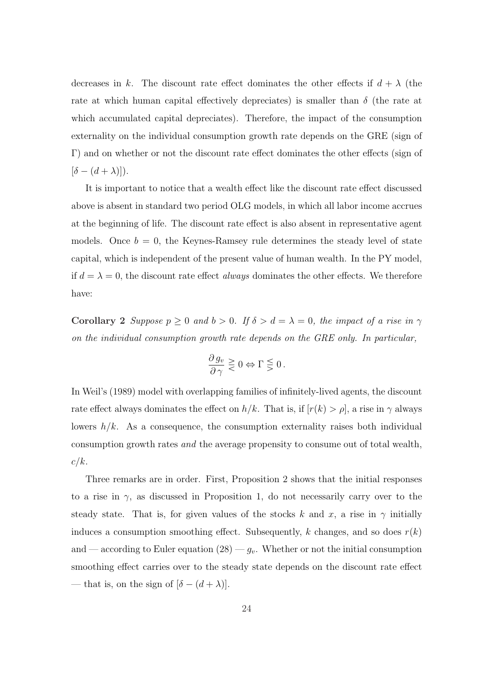decreases in k. The discount rate effect dominates the other effects if  $d + \lambda$  (the rate at which human capital effectively depreciates) is smaller than  $\delta$  (the rate at which accumulated capital depreciates). Therefore, the impact of the consumption externality on the individual consumption growth rate depends on the GRE (sign of Γ) and on whether or not the discount rate effect dominates the other effects (sign of  $[\delta - (d + \lambda)]$ ).

It is important to notice that a wealth effect like the discount rate effect discussed above is absent in standard two period OLG models, in which all labor income accrues at the beginning of life. The discount rate effect is also absent in representative agent models. Once  $b = 0$ , the Keynes-Ramsey rule determines the steady level of state capital, which is independent of the present value of human wealth. In the PY model, if  $d = \lambda = 0$ , the discount rate effect always dominates the other effects. We therefore have:

Corollary 2 Suppose  $p \ge 0$  and  $b > 0$ . If  $\delta > d = \lambda = 0$ , the impact of a rise in  $\gamma$ on the individual consumption growth rate depends on the GRE only. In particular,

$$
\frac{\partial g_v}{\partial \gamma} \geq 0 \Leftrightarrow \Gamma \leq 0.
$$

In Weil's (1989) model with overlapping families of infinitely-lived agents, the discount rate effect always dominates the effect on  $h/k$ . That is, if  $[r(k) > \rho]$ , a rise in  $\gamma$  always lowers  $h/k$ . As a consequence, the consumption externality raises both individual consumption growth rates and the average propensity to consume out of total wealth,  $c/k$ .

Three remarks are in order. First, Proposition 2 shows that the initial responses to a rise in  $\gamma$ , as discussed in Proposition 1, do not necessarily carry over to the steady state. That is, for given values of the stocks k and x, a rise in  $\gamma$  initially induces a consumption smoothing effect. Subsequently, k changes, and so does  $r(k)$ and — according to Euler equation  $(28)$  —  $g_v$ . Whether or not the initial consumption smoothing effect carries over to the steady state depends on the discount rate effect — that is, on the sign of  $[\delta - (d + \lambda)].$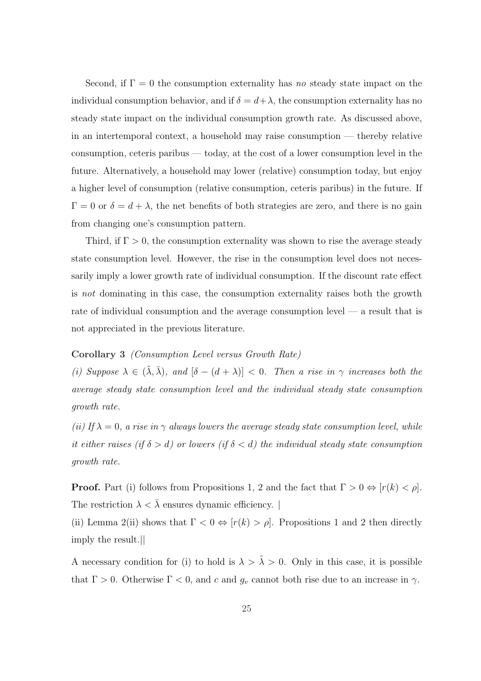Second, if  $\Gamma = 0$  the consumption externality has no steady state impact on the individual consumption behavior, and if  $\delta = d + \lambda$ , the consumption externality has no steady state impact on the individual consumption growth rate. As discussed above, in an intertemporal context, a household may raise consumption — thereby relative consumption, ceteris paribus — today, at the cost of a lower consumption level in the future. Alternatively, a household may lower (relative) consumption today, but enjoy a higher level of consumption (relative consumption, ceteris paribus) in the future. If  $\Gamma = 0$  or  $\delta = d + \lambda$ , the net benefits of both strategies are zero, and there is no gain from changing one's consumption pattern.

Third, if  $\Gamma > 0$ , the consumption externality was shown to rise the average steady state consumption level. However, the rise in the consumption level does not necessarily imply a lower growth rate of individual consumption. If the discount rate effect is not dominating in this case, the consumption externality raises both the growth rate of individual consumption and the average consumption level — a result that is not appreciated in the previous literature.

#### Corollary 3 (Consumption Level versus Growth Rate)

(i) Suppose  $\lambda \in (\tilde{\lambda}, \bar{\lambda})$ , and  $[\delta - (d + \lambda)] < 0$ . Then a rise in  $\gamma$  increases both the average steady state consumption level and the individual steady state consumption growth rate.

(ii) If  $\lambda = 0$ , a rise in  $\gamma$  always lowers the average steady state consumption level, while it either raises (if  $\delta > d$ ) or lowers (if  $\delta < d$ ) the individual steady state consumption growth rate.

**Proof.** Part (i) follows from Propositions 1, 2 and the fact that  $\Gamma > 0 \Leftrightarrow [r(k) < \rho]$ . The restriction  $\lambda < \overline{\lambda}$  ensures dynamic efficiency.

(ii) Lemma 2(ii) shows that  $\Gamma < 0 \Leftrightarrow [r(k) > \rho]$ . Propositions 1 and 2 then directly imply the result.||

A necessary condition for (i) to hold is  $\lambda > \tilde{\lambda} > 0$ . Only in this case, it is possible that  $\Gamma > 0$ . Otherwise  $\Gamma < 0$ , and c and  $g_v$  cannot both rise due to an increase in  $\gamma$ .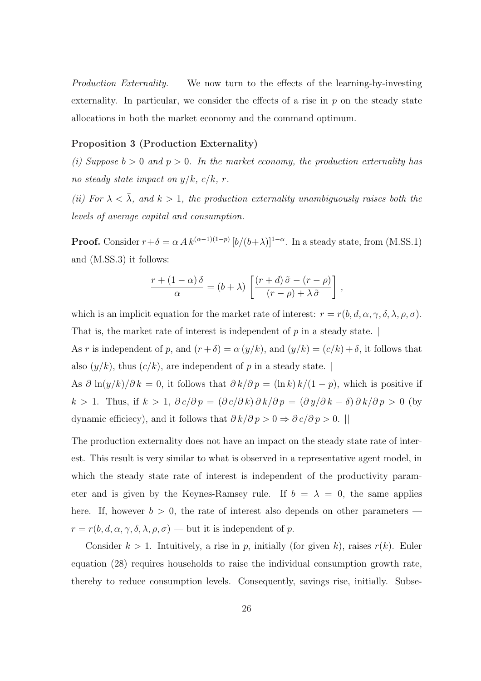Production Externality. We now turn to the effects of the learning-by-investing externality. In particular, we consider the effects of a rise in  $p$  on the steady state allocations in both the market economy and the command optimum.

### Proposition 3 (Production Externality)

(i) Suppose  $b > 0$  and  $p > 0$ . In the market economy, the production externality has no steady state impact on  $y/k$ ,  $c/k$ , r.

(ii) For  $\lambda < \overline{\lambda}$ , and  $k > 1$ , the production externality unambiguously raises both the levels of average capital and consumption.

**Proof.** Consider  $r + \delta = \alpha A k^{(\alpha-1)(1-p)} [b/(b+\lambda)]^{1-\alpha}$ . In a steady state, from (M.SS.1) and (M.SS.3) it follows:

$$
\frac{r + (1 - \alpha)\,\delta}{\alpha} = (b + \lambda) \left[ \frac{(r + d)\,\tilde{\sigma} - (r - \rho)}{(r - \rho) + \lambda\,\tilde{\sigma}} \right] \,,
$$

which is an implicit equation for the market rate of interest:  $r = r(b, d, \alpha, \gamma, \delta, \lambda, \rho, \sigma)$ . That is, the market rate of interest is independent of  $p$  in a steady state.

As r is independent of p, and  $(r + \delta) = \alpha (y/k)$ , and  $(y/k) = (c/k) + \delta$ , it follows that also  $(y/k)$ , thus  $(c/k)$ , are independent of p in a steady state.

As  $\partial \ln(y/k)/\partial k = 0$ , it follows that  $\partial k/\partial p = (\ln k) k/(1-p)$ , which is positive if k > 1. Thus, if  $k > 1$ ,  $\partial c/\partial p = (\partial c/\partial k)\partial k/\partial p = (\partial y/\partial k - \delta)\partial k/\partial p > 0$  (by dynamic efficiecy), and it follows that  $\partial k/\partial p > 0 \Rightarrow \partial c/\partial p > 0$ . ||

The production externality does not have an impact on the steady state rate of interest. This result is very similar to what is observed in a representative agent model, in which the steady state rate of interest is independent of the productivity parameter and is given by the Keynes-Ramsey rule. If  $b = \lambda = 0$ , the same applies here. If, however  $b > 0$ , the rate of interest also depends on other parameters  $r = r(b, d, \alpha, \gamma, \delta, \lambda, \rho, \sigma)$  — but it is independent of p.

Consider  $k > 1$ . Intuitively, a rise in p, initially (for given k), raises  $r(k)$ . Euler equation (28) requires households to raise the individual consumption growth rate, thereby to reduce consumption levels. Consequently, savings rise, initially. Subse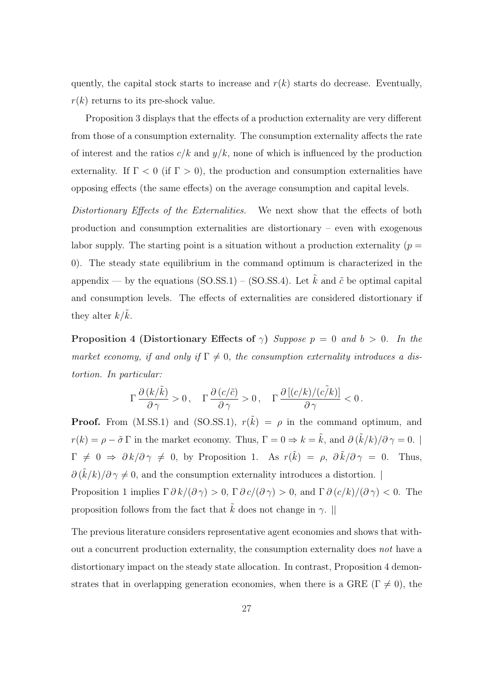quently, the capital stock starts to increase and  $r(k)$  starts do decrease. Eventually,  $r(k)$  returns to its pre-shock value.

Proposition 3 displays that the effects of a production externality are very different from those of a consumption externality. The consumption externality affects the rate of interest and the ratios  $c/k$  and  $y/k$ , none of which is influenced by the production externality. If  $\Gamma < 0$  (if  $\Gamma > 0$ ), the production and consumption externalities have opposing effects (the same effects) on the average consumption and capital levels.

Distortionary Effects of the Externalities. We next show that the effects of both production and consumption externalities are distortionary – even with exogenous labor supply. The starting point is a situation without a production externality ( $p =$ 0). The steady state equilibrium in the command optimum is characterized in the appendix — by the equations (SO.SS.1) – (SO.SS.4). Let  $\tilde{k}$  and  $\tilde{c}$  be optimal capital and consumption levels. The effects of externalities are considered distortionary if they alter  $k/k$ .

**Proposition 4 (Distortionary Effects of**  $\gamma$ ) Suppose  $p = 0$  and  $b > 0$ . In the market economy, if and only if  $\Gamma \neq 0$ , the consumption externality introduces a distortion. In particular:

$$
\Gamma\,\frac{\partial\left(k/\tilde{k}\right)}{\partial\,\gamma}>0\,,\quad \Gamma\,\frac{\partial\left(c/\tilde{c}\right)}{\partial\,\gamma}>0\,,\quad \Gamma\,\frac{\partial\left[\left(c/k\right)/\left(c\tilde{\ell}k\right)\right]}{\partial\,\gamma}<0\,.
$$

**Proof.** From (M.SS.1) and (SO.SS.1),  $r(\tilde{k}) = \rho$  in the command optimum, and  $r(k) = \rho - \tilde{\sigma} \Gamma$  in the market economy. Thus,  $\Gamma = 0 \Rightarrow k = \tilde{k}$ , and  $\partial (\tilde{k}/k)/\partial \gamma = 0$ .  $\Gamma \neq 0 \Rightarrow \partial k/\partial \gamma \neq 0$ , by Proposition 1. As  $r(\tilde{k}) = \rho, \ \partial \tilde{k}/\partial \gamma = 0$ . Thus,  $\partial (\tilde{k}/k)/\partial \gamma \neq 0$ , and the consumption externality introduces a distortion. | Proposition 1 implies  $\Gamma \partial k/(\partial \gamma) > 0$ ,  $\Gamma \partial c/(\partial \gamma) > 0$ , and  $\Gamma \partial (c/k)/(\partial \gamma) < 0$ . The proposition follows from the fact that  $\tilde{k}$  does not change in  $\gamma$ . ||

The previous literature considers representative agent economies and shows that without a concurrent production externality, the consumption externality does not have a distortionary impact on the steady state allocation. In contrast, Proposition 4 demonstrates that in overlapping generation economies, when there is a GRE ( $\Gamma \neq 0$ ), the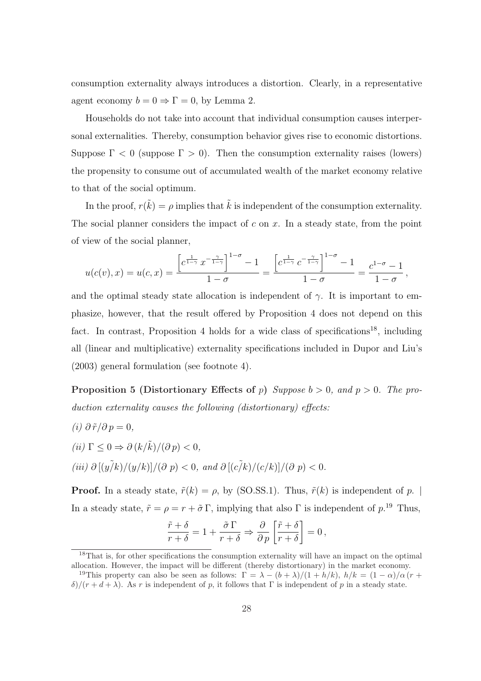consumption externality always introduces a distortion. Clearly, in a representative agent economy  $b = 0 \Rightarrow \Gamma = 0$ , by Lemma 2.

Households do not take into account that individual consumption causes interpersonal externalities. Thereby, consumption behavior gives rise to economic distortions. Suppose  $\Gamma < 0$  (suppose  $\Gamma > 0$ ). Then the consumption externality raises (lowers) the propensity to consume out of accumulated wealth of the market economy relative to that of the social optimum.

In the proof,  $r(\tilde{k}) = \rho$  implies that  $\tilde{k}$  is independent of the consumption externality. The social planner considers the impact of  $c$  on  $x$ . In a steady state, from the point of view of the social planner,

$$
u(c(v), x) = u(c, x) = \frac{\left[c^{\frac{1}{1-\gamma}} x^{-\frac{\gamma}{1-\gamma}}\right]^{1-\sigma} - 1}{1-\sigma} = \frac{\left[c^{\frac{1}{1-\gamma}} c^{-\frac{\gamma}{1-\gamma}}\right]^{1-\sigma} - 1}{1-\sigma} = \frac{c^{1-\sigma} - 1}{1-\sigma},
$$

and the optimal steady state allocation is independent of  $\gamma$ . It is important to emphasize, however, that the result offered by Proposition 4 does not depend on this fact. In contrast, Proposition 4 holds for a wide class of specifications<sup>18</sup>, including all (linear and multiplicative) externality specifications included in Dupor and Liu's (2003) general formulation (see footnote 4).

**Proposition 5 (Distortionary Effects of p)** Suppose  $b > 0$ , and  $p > 0$ . The production externality causes the following (distortionary) effects:

 $(i) \partial \tilde{r}/\partial p = 0,$ (ii)  $\Gamma \leq 0 \Rightarrow \partial (k/\tilde{k})/(\partial p) < 0.$ (iii)  $\partial [(y \tilde{/}k)/(y/k)]/(\partial p) < 0$ , and  $\partial [(c \tilde{/}k)/(c/k)]/(\partial p) < 0$ .

**Proof.** In a steady state,  $\tilde{r}(k) = \rho$ , by (SO.SS.1). Thus,  $\tilde{r}(k)$  is independent of p. | In a steady state,  $\tilde{r} = \rho = r + \tilde{\sigma} \Gamma$ , implying that also  $\Gamma$  is independent of  $p^{19}$ . Thus,

$$
\frac{\tilde{r}+\delta}{r+\delta} = 1 + \frac{\tilde{\sigma}\,\Gamma}{r+\delta} \Rightarrow \frac{\partial}{\partial\,p}\left[\frac{\tilde{r}+\delta}{r+\delta}\right] = 0\,,
$$

<sup>&</sup>lt;sup>18</sup>That is, for other specifications the consumption externality will have an impact on the optimal allocation. However, the impact will be different (thereby distortionary) in the market economy.

<sup>&</sup>lt;sup>19</sup>This property can also be seen as follows:  $\Gamma = \lambda - (b + \lambda)/(1 + h/k)$ ,  $h/k = (1 - \alpha)/\alpha (r +$ δ)/(r + d + λ). As r is independent of p, it follows that Γ is independent of p in a steady state.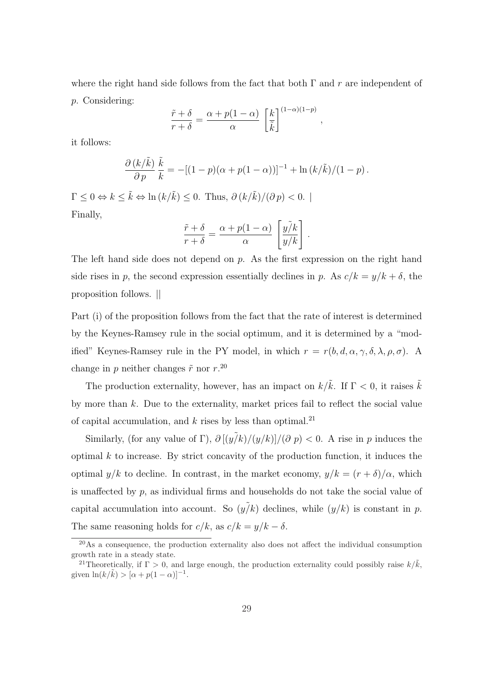where the right hand side follows from the fact that both  $\Gamma$  and r are independent of p. Considering:

$$
\frac{\tilde{r} + \delta}{r + \delta} = \frac{\alpha + p(1 - \alpha)}{\alpha} \left[ \frac{k}{\tilde{k}} \right]^{(1 - \alpha)(1 - p)},
$$

it follows:

$$
\frac{\partial (k/\tilde{k})}{\partial p} \frac{\tilde{k}}{k} = -[(1-p)(\alpha + p(1-\alpha))]^{-1} + \ln (k/\tilde{k})/(1-p).
$$

 $\Gamma \leq 0 \Leftrightarrow k \leq \tilde{k} \Leftrightarrow \ln (k/\tilde{k}) \leq 0$ . Thus,  $\partial (k/\tilde{k})/(\partial p) < 0$ . Finally,

$$
\frac{\tilde{r} + \delta}{r + \delta} = \frac{\alpha + p(1 - \alpha)}{\alpha} \left[ \frac{y\tilde{j}k}{y/k} \right].
$$

The left hand side does not depend on  $p$ . As the first expression on the right hand side rises in p, the second expression essentially declines in p. As  $c/k = y/k + \delta$ , the proposition follows. ||

Part (i) of the proposition follows from the fact that the rate of interest is determined by the Keynes-Ramsey rule in the social optimum, and it is determined by a "modified" Keynes-Ramsey rule in the PY model, in which  $r = r(b, d, \alpha, \gamma, \delta, \lambda, \rho, \sigma)$ . A change in p neither changes  $\tilde{r}$  nor  $r.^{20}$ .

The production externality, however, has an impact on  $k/\tilde{k}$ . If  $\Gamma < 0$ , it raises  $\tilde{k}$ by more than  $k$ . Due to the externality, market prices fail to reflect the social value of capital accumulation, and  $k$  rises by less than optimal.<sup>21</sup>

Similarly, (for any value of Γ),  $\partial [(\tilde{y/k})/(\tilde{y/k})]/(\partial p) < 0$ . A rise in p induces the optimal  $k$  to increase. By strict concavity of the production function, it induces the optimal  $y/k$  to decline. In contrast, in the market economy,  $y/k = (r + \delta)/\alpha$ , which is unaffected by p, as individual firms and households do not take the social value of capital accumulation into account. So  $(y/k)$  declines, while  $(y/k)$  is constant in p. The same reasoning holds for  $c/k$ , as  $c/k = y/k - \delta$ .

 $20\text{As a consequence, the production externality also does not affect the individual consumption.}$ growth rate in a steady state.

<sup>&</sup>lt;sup>21</sup>Theoretically, if  $\Gamma > 0$ , and large enough, the production externality could possibly raise  $k/\tilde{k}$ , given  $\ln(k/\tilde{k}) > [\alpha + p(1-\alpha)]^{-1}$ .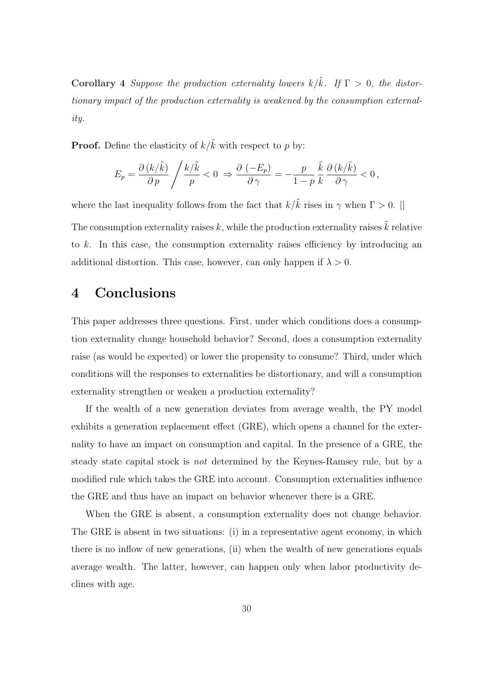Corollary 4 Suppose the production externality lowers  $k/\tilde{k}$ . If  $\Gamma > 0$ , the distortionary impact of the production externality is weakened by the consumption externality.

**Proof.** Define the elasticity of  $k/\tilde{k}$  with respect to p by:

$$
E_p = \frac{\partial (k/\tilde{k})}{\partial p} / \frac{k/\tilde{k}}{p} < 0 \Rightarrow \frac{\partial (-E_p)}{\partial \gamma} = -\frac{p}{1-p} \frac{\tilde{k}}{k} \frac{\partial (k/\tilde{k})}{\partial \gamma} < 0,
$$

where the last inequality follows from the fact that  $k/\tilde{k}$  rises in  $\gamma$  when  $\Gamma > 0$ . ||

The consumption externality raises  $k$ , while the production externality raises  $\tilde{k}$  relative to k. In this case, the consumption externality raises efficiency by introducing an additional distortion. This case, however, can only happen if  $\lambda > 0$ .

## 4 Conclusions

This paper addresses three questions. First, under which conditions does a consumption externality change household behavior? Second, does a consumption externality raise (as would be expected) or lower the propensity to consume? Third, under which conditions will the responses to externalities be distortionary, and will a consumption externality strengthen or weaken a production externality?

If the wealth of a new generation deviates from average wealth, the PY model exhibits a generation replacement effect (GRE), which opens a channel for the externality to have an impact on consumption and capital. In the presence of a GRE, the steady state capital stock is not determined by the Keynes-Ramsey rule, but by a modified rule which takes the GRE into account. Consumption externalities influence the GRE and thus have an impact on behavior whenever there is a GRE.

When the GRE is absent, a consumption externality does not change behavior. The GRE is absent in two situations: (i) in a representative agent economy, in which there is no inflow of new generations, (ii) when the wealth of new generations equals average wealth. The latter, however, can happen only when labor productivity declines with age.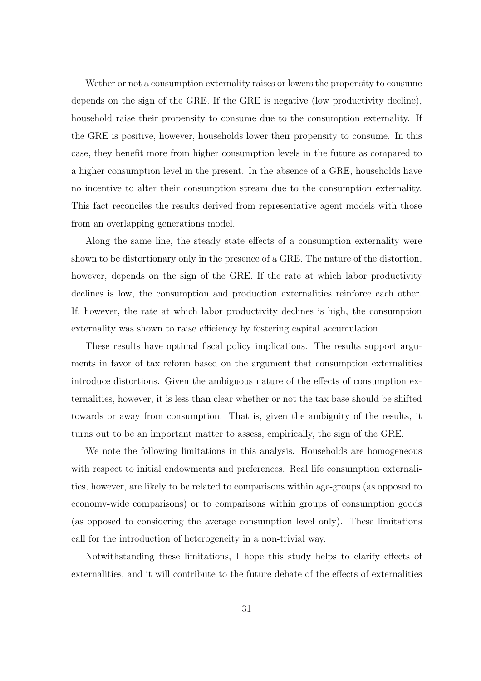Wether or not a consumption externality raises or lowers the propensity to consume depends on the sign of the GRE. If the GRE is negative (low productivity decline), household raise their propensity to consume due to the consumption externality. If the GRE is positive, however, households lower their propensity to consume. In this case, they benefit more from higher consumption levels in the future as compared to a higher consumption level in the present. In the absence of a GRE, households have no incentive to alter their consumption stream due to the consumption externality. This fact reconciles the results derived from representative agent models with those from an overlapping generations model.

Along the same line, the steady state effects of a consumption externality were shown to be distortionary only in the presence of a GRE. The nature of the distortion, however, depends on the sign of the GRE. If the rate at which labor productivity declines is low, the consumption and production externalities reinforce each other. If, however, the rate at which labor productivity declines is high, the consumption externality was shown to raise efficiency by fostering capital accumulation.

These results have optimal fiscal policy implications. The results support arguments in favor of tax reform based on the argument that consumption externalities introduce distortions. Given the ambiguous nature of the effects of consumption externalities, however, it is less than clear whether or not the tax base should be shifted towards or away from consumption. That is, given the ambiguity of the results, it turns out to be an important matter to assess, empirically, the sign of the GRE.

We note the following limitations in this analysis. Households are homogeneous with respect to initial endowments and preferences. Real life consumption externalities, however, are likely to be related to comparisons within age-groups (as opposed to economy-wide comparisons) or to comparisons within groups of consumption goods (as opposed to considering the average consumption level only). These limitations call for the introduction of heterogeneity in a non-trivial way.

Notwithstanding these limitations, I hope this study helps to clarify effects of externalities, and it will contribute to the future debate of the effects of externalities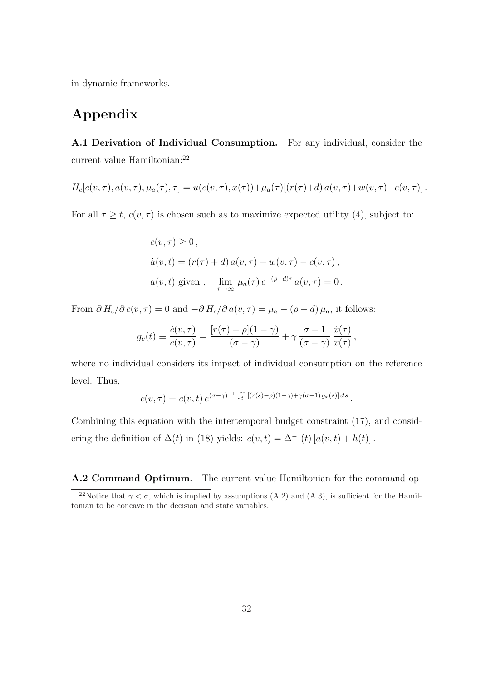in dynamic frameworks.

# Appendix

A.1 Derivation of Individual Consumption. For any individual, consider the current value Hamiltonian:<sup>22</sup>

$$
H_c[c(v,\tau), a(v,\tau), \mu_a(\tau), \tau] = u(c(v,\tau), x(\tau)) + \mu_a(\tau)[(r(\tau) + d) a(v,\tau) + w(v,\tau) - c(v,\tau)].
$$

For all  $\tau \geq t$ ,  $c(v, \tau)$  is chosen such as to maximize expected utility (4), subject to:

$$
c(v, \tau) \ge 0,
$$
  
\n
$$
\dot{a}(v, t) = (r(\tau) + d) a(v, \tau) + w(v, \tau) - c(v, \tau),
$$
  
\n
$$
a(v, t) \text{ given }, \quad \lim_{\tau \to \infty} \mu_a(\tau) e^{-(\rho + d)\tau} a(v, \tau) = 0.
$$

From  $\partial H_c/\partial c(v, \tau) = 0$  and  $-\partial H_c/\partial a(v, \tau) = \mu_a - (\rho + d) \mu_a$ , it follows:

$$
g_v(t) \equiv \frac{\dot{c}(v,\tau)}{c(v,\tau)} = \frac{[r(\tau) - \rho](1-\gamma)}{(\sigma-\gamma)} + \gamma \frac{\sigma-1}{(\sigma-\gamma)} \frac{\dot{x}(\tau)}{x(\tau)},
$$

where no individual considers its impact of individual consumption on the reference level. Thus,

$$
c(v,\tau) = c(v,t) e^{(\sigma-\gamma)^{-1} \int_t^{\tau} [(r(s)-\rho)(1-\gamma)+\gamma(\sigma-1) g_x(s)] ds}.
$$

Combining this equation with the intertemporal budget constraint (17), and considering the definition of  $\Delta(t)$  in (18) yields:  $c(v,t) = \Delta^{-1}(t) [a(v,t) + h(t)]$ . ||

A.2 Command Optimum. The current value Hamiltonian for the command op-

<sup>&</sup>lt;sup>22</sup>Notice that  $\gamma < \sigma$ , which is implied by assumptions (A.2) and (A.3), is sufficient for the Hamiltonian to be concave in the decision and state variables.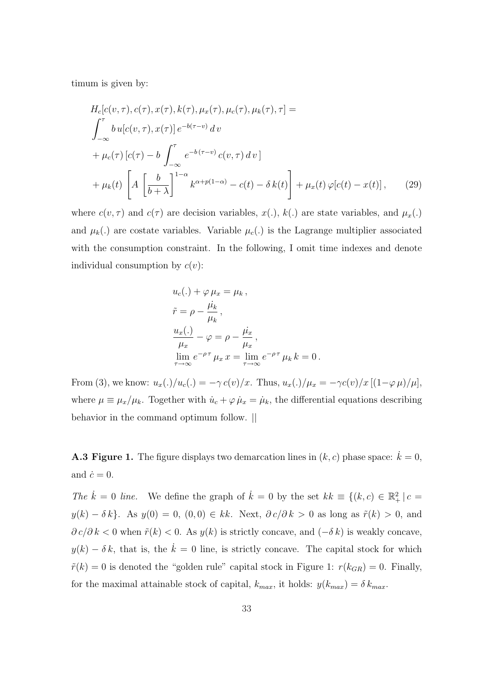timum is given by:

$$
H_c[c(v,\tau), c(\tau), x(\tau), k(\tau), \mu_x(\tau), \mu_c(\tau), \mu_k(\tau), \tau] =
$$
\n
$$
\int_{-\infty}^{\tau} b u[c(v,\tau), x(\tau)] e^{-b(\tau - v)} dv
$$
\n
$$
+ \mu_c(\tau) [c(\tau) - b \int_{-\infty}^{\tau} e^{-b(\tau - v)} c(v,\tau) dv]
$$
\n
$$
+ \mu_k(t) \left[ A \left[ \frac{b}{b+\lambda} \right]^{1-\alpha} k^{\alpha+p(1-\alpha)} - c(t) - \delta k(t) \right] + \mu_x(t) \varphi[c(t) - x(t)], \qquad (29)
$$

where  $c(v, \tau)$  and  $c(\tau)$  are decision variables,  $x(.)$ ,  $k(.)$  are state variables, and  $\mu_x(.)$ and  $\mu_k(.)$  are costate variables. Variable  $\mu_c(.)$  is the Lagrange multiplier associated with the consumption constraint. In the following, I omit time indexes and denote individual consumption by  $c(v)$ :

$$
u_c(.) + \varphi \mu_x = \mu_k,
$$
  
\n
$$
\tilde{r} = \rho - \frac{\mu_k}{\mu_k},
$$
  
\n
$$
\frac{u_x(.)}{\mu_x} - \varphi = \rho - \frac{\mu_x}{\mu_x},
$$
  
\n
$$
\lim_{\tau \to \infty} e^{-\rho \tau} \mu_x x = \lim_{\tau \to \infty} e^{-\rho \tau} \mu_k k = 0.
$$

From (3), we know:  $u_x(.)/u_c(.) = -\gamma c(v)/x$ . Thus,  $u_x(.)/\mu_x = -\gamma c(v)/x$  [ $(1-\varphi \mu)/\mu$ ], where  $\mu \equiv \mu_x/\mu_k$ . Together with  $\dot{u}_c + \varphi \dot{\mu}_x = \dot{\mu}_k$ , the differential equations describing behavior in the command optimum follow. ||

**A.3 Figure 1.** The figure displays two demarcation lines in  $(k, c)$  phase space:  $\dot{k} = 0$ , and  $\dot{c} = 0$ .

The  $\dot{k} = 0$  line. We define the graph of  $\dot{k} = 0$  by the set  $kk \equiv \{(k, c) \in \mathbb{R}^2_+ | c =$  $y(k) - \delta k$ . As  $y(0) = 0$ ,  $(0, 0) \in kk$ . Next,  $\partial c/\partial k > 0$  as long as  $\tilde{r}(k) > 0$ , and  $\partial c/\partial k < 0$  when  $\tilde{r}(k) < 0$ . As  $y(k)$  is strictly concave, and  $(-\delta k)$  is weakly concave,  $y(k) - \delta k$ , that is, the  $\dot{k} = 0$  line, is strictly concave. The capital stock for which  $\tilde{r}(k) = 0$  is denoted the "golden rule" capital stock in Figure 1:  $r(k_{GR}) = 0$ . Finally, for the maximal attainable stock of capital,  $k_{max}$ , it holds:  $y(k_{max}) = \delta k_{max}$ .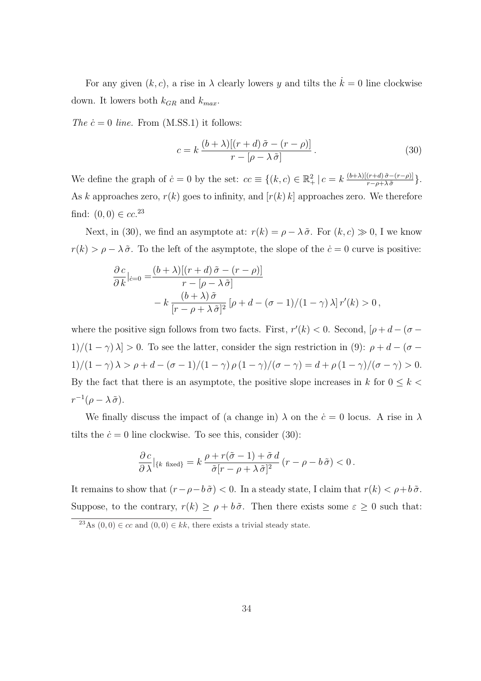For any given  $(k, c)$ , a rise in  $\lambda$  clearly lowers y and tilts the  $\dot{k} = 0$  line clockwise down. It lowers both  $k_{GR}$  and  $k_{max}$ .

The  $\dot{c} = 0$  line. From (M.SS.1) it follows:

$$
c = k \frac{(b + \lambda)[(r + d)\tilde{\sigma} - (r - \rho)]}{r - [\rho - \lambda \tilde{\sigma}]}.
$$
\n(30)

We define the graph of  $\dot{c} = 0$  by the set:  $cc \equiv \{(k, c) \in \mathbb{R}^2_+ \mid c = k \frac{(b+\lambda)[(r+d)\tilde{\sigma}-(r-\rho)]}{r-\rho+\lambda \tilde{\sigma}}\}$  $\frac{(r+a)\,\sigma-(r-\rho)}{r-\rho+\lambda\,\tilde{\sigma}}\big\}.$ As k approaches zero,  $r(k)$  goes to infinity, and  $[r(k) k]$  approaches zero. We therefore find:  $(0,0) \in cc^{23}$ 

Next, in (30), we find an asymptote at:  $r(k) = \rho - \lambda \tilde{\sigma}$ . For  $(k, c) \gg 0$ , I we know  $r(k) > \rho - \lambda \tilde{\sigma}$ . To the left of the asymptote, the slope of the  $\dot{c} = 0$  curve is positive:

$$
\frac{\partial c}{\partial k}|_{\dot{c}=0} = \frac{(b+\lambda)[(r+d)\tilde{\sigma} - (r-\rho)]}{r - [\rho - \lambda \tilde{\sigma}]}
$$

$$
- k \frac{(b+\lambda)\tilde{\sigma}}{[r-\rho+\lambda \tilde{\sigma}]^2} [\rho+d-(\sigma-1)/(1-\gamma)\lambda] r'(k) > 0,
$$

where the positive sign follows from two facts. First,  $r'(k) < 0$ . Second,  $[\rho + d - (\sigma -$ 1)/(1 −  $\gamma$ )  $\lambda$ ] > 0. To see the latter, consider the sign restriction in (9):  $\rho + d - (\sigma -$ 1)/(1 – γ)  $\lambda > \rho + d - (\sigma - 1)/(1 - \gamma) \rho (1 - \gamma) / (\sigma - \gamma) = d + \rho (1 - \gamma) / (\sigma - \gamma) > 0.$ By the fact that there is an asymptote, the positive slope increases in k for  $0 \leq k$  $r^{-1}(\rho - \lambda \tilde{\sigma}).$ 

We finally discuss the impact of (a change in)  $\lambda$  on the  $\dot{c} = 0$  locus. A rise in  $\lambda$ tilts the  $\dot{c} = 0$  line clockwise. To see this, consider (30):

$$
\frac{\partial c}{\partial \lambda}\big|_{\{k \text{ fixed}\}} = k \frac{\rho + r(\tilde{\sigma} - 1) + \tilde{\sigma} d}{\tilde{\sigma}[r - \rho + \lambda \tilde{\sigma}]^2} (r - \rho - b \tilde{\sigma}) < 0.
$$

It remains to show that  $(r - \rho - b\tilde{\sigma}) < 0$ . In a steady state, I claim that  $r(k) < \rho + b\tilde{\sigma}$ . Suppose, to the contrary,  $r(k) \ge \rho + b\tilde{\sigma}$ . Then there exists some  $\varepsilon \ge 0$  such that:

<sup>&</sup>lt;sup>23</sup>As  $(0,0) \in cc$  and  $(0,0) \in kk$ , there exists a trivial steady state.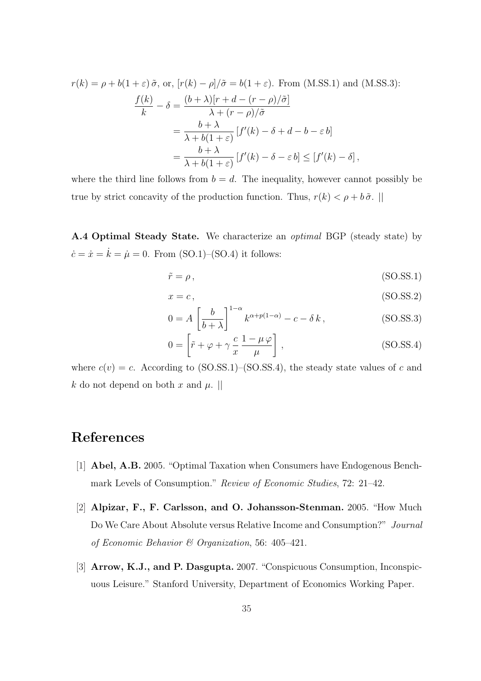$$
r(k) = \rho + b(1+\varepsilon)\tilde{\sigma}, \text{ or, } [r(k) - \rho]/\tilde{\sigma} = b(1+\varepsilon). \text{ From (M.SS.1) and (M.SS.3):}
$$

$$
\frac{f(k)}{k} - \delta = \frac{(b+\lambda)[r+d-(r-\rho)/\tilde{\sigma}]}{\lambda + (r-\rho)/\tilde{\sigma}}
$$

$$
= \frac{b+\lambda}{\lambda + b(1+\varepsilon)} [f'(k) - \delta + d - b - \varepsilon b]
$$

$$
= \frac{b+\lambda}{\lambda + b(1+\varepsilon)} [f'(k) - \delta - \varepsilon b] \le [f'(k) - \delta],
$$

where the third line follows from  $b = d$ . The inequality, however cannot possibly be true by strict concavity of the production function. Thus,  $r(k) < \rho + b\tilde{\sigma}$ .

A.4 Optimal Steady State. We characterize an optimal BGP (steady state) by  $\dot{c} = \dot{x} = \dot{k} = \dot{\mu} = 0$ . From (SO.1)–(SO.4) it follows:

$$
\tilde{r} = \rho, \tag{SO. S S. 1}
$$

$$
x = c,\tag{SO.SS.2}
$$

$$
0 = A \left[ \frac{b}{b + \lambda} \right]^{1 - \alpha} k^{\alpha + p(1 - \alpha)} - c - \delta k, \qquad (SO.SS.3)
$$

$$
0 = \left[ \tilde{r} + \varphi + \gamma \frac{c}{x} \frac{1 - \mu \varphi}{\mu} \right],
$$
 (SO.SS.4)

where  $c(v) = c$ . According to (SO.SS.1)–(SO.SS.4), the steady state values of c and k do not depend on both x and  $\mu$ .

# References

- [1] Abel, A.B. 2005. "Optimal Taxation when Consumers have Endogenous Benchmark Levels of Consumption." Review of Economic Studies, 72: 21–42.
- [2] Alpizar, F., F. Carlsson, and O. Johansson-Stenman. 2005. "How Much Do We Care About Absolute versus Relative Income and Consumption?" Journal of Economic Behavior & Organization, 56: 405–421.
- [3] Arrow, K.J., and P. Dasgupta. 2007. "Conspicuous Consumption, Inconspicuous Leisure." Stanford University, Department of Economics Working Paper.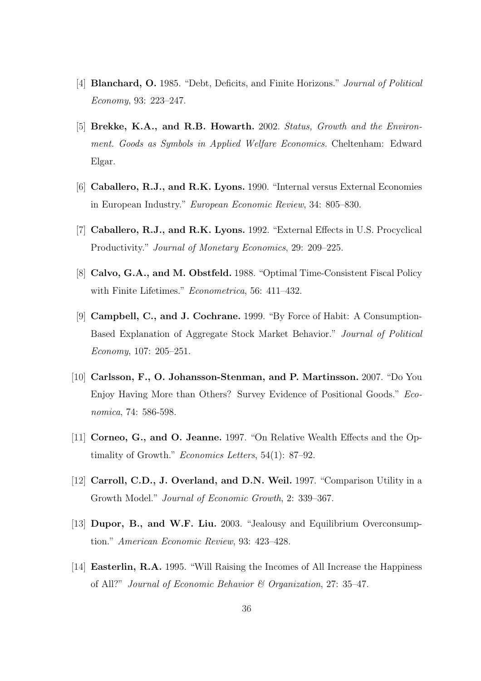- [4] **Blanchard, O.** 1985. "Debt, Deficits, and Finite Horizons." *Journal of Political* Economy, 93: 223–247.
- [5] Brekke, K.A., and R.B. Howarth. 2002. Status, Growth and the Environment. Goods as Symbols in Applied Welfare Economics. Cheltenham: Edward Elgar.
- [6] Caballero, R.J., and R.K. Lyons. 1990. "Internal versus External Economies in European Industry." European Economic Review, 34: 805–830.
- [7] Caballero, R.J., and R.K. Lyons. 1992. "External Effects in U.S. Procyclical Productivity." Journal of Monetary Economics, 29: 209–225.
- [8] Calvo, G.A., and M. Obstfeld. 1988. "Optimal Time-Consistent Fiscal Policy with Finite Lifetimes." Econometrica, 56: 411–432.
- [9] Campbell, C., and J. Cochrane. 1999. "By Force of Habit: A Consumption-Based Explanation of Aggregate Stock Market Behavior." Journal of Political Economy, 107: 205–251.
- [10] Carlsson, F., O. Johansson-Stenman, and P. Martinsson. 2007. "Do You Enjoy Having More than Others? Survey Evidence of Positional Goods." Economica, 74: 586-598.
- [11] Corneo, G., and O. Jeanne. 1997. "On Relative Wealth Effects and the Optimality of Growth." Economics Letters, 54(1): 87–92.
- [12] Carroll, C.D., J. Overland, and D.N. Weil. 1997. "Comparison Utility in a Growth Model." Journal of Economic Growth, 2: 339–367.
- [13] **Dupor, B., and W.F. Liu.** 2003. "Jealousy and Equilibrium Overconsumption." American Economic Review, 93: 423–428.
- [14] Easterlin, R.A. 1995. "Will Raising the Incomes of All Increase the Happiness of All?" Journal of Economic Behavior & Organization, 27: 35–47.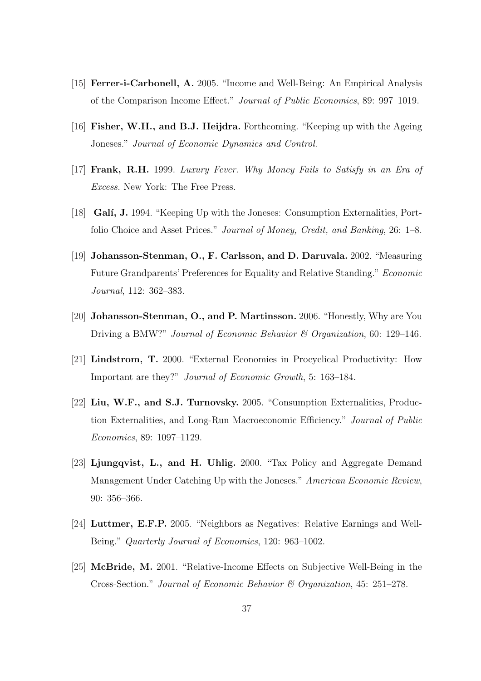- [15] Ferrer-i-Carbonell, A. 2005. "Income and Well-Being: An Empirical Analysis of the Comparison Income Effect." Journal of Public Economics, 89: 997–1019.
- [16] Fisher, W.H., and B.J. Heijdra. Forthcoming. "Keeping up with the Ageing Joneses." Journal of Economic Dynamics and Control.
- [17] Frank, R.H. 1999. Luxury Fever. Why Money Fails to Satisfy in an Era of Excess. New York: The Free Press.
- [18] **Gali, J.** 1994. "Keeping Up with the Joneses: Consumption Externalities, Portfolio Choice and Asset Prices." Journal of Money, Credit, and Banking, 26: 1–8.
- [19] Johansson-Stenman, O., F. Carlsson, and D. Daruvala. 2002. "Measuring Future Grandparents' Preferences for Equality and Relative Standing." Economic Journal, 112: 362–383.
- [20] Johansson-Stenman, O., and P. Martinsson. 2006. "Honestly, Why are You Driving a BMW?" Journal of Economic Behavior & Organization, 60: 129–146.
- [21] Lindstrom, T. 2000. "External Economies in Procyclical Productivity: How Important are they?" Journal of Economic Growth, 5: 163–184.
- [22] Liu, W.F., and S.J. Turnovsky. 2005. "Consumption Externalities, Production Externalities, and Long-Run Macroeconomic Efficiency." Journal of Public Economics, 89: 1097–1129.
- [23] Ljungqvist, L., and H. Uhlig. 2000. "Tax Policy and Aggregate Demand Management Under Catching Up with the Joneses." American Economic Review, 90: 356–366.
- [24] Luttmer, E.F.P. 2005. "Neighbors as Negatives: Relative Earnings and Well-Being." Quarterly Journal of Economics, 120: 963–1002.
- [25] McBride, M. 2001. "Relative-Income Effects on Subjective Well-Being in the Cross-Section." Journal of Economic Behavior & Organization, 45: 251–278.